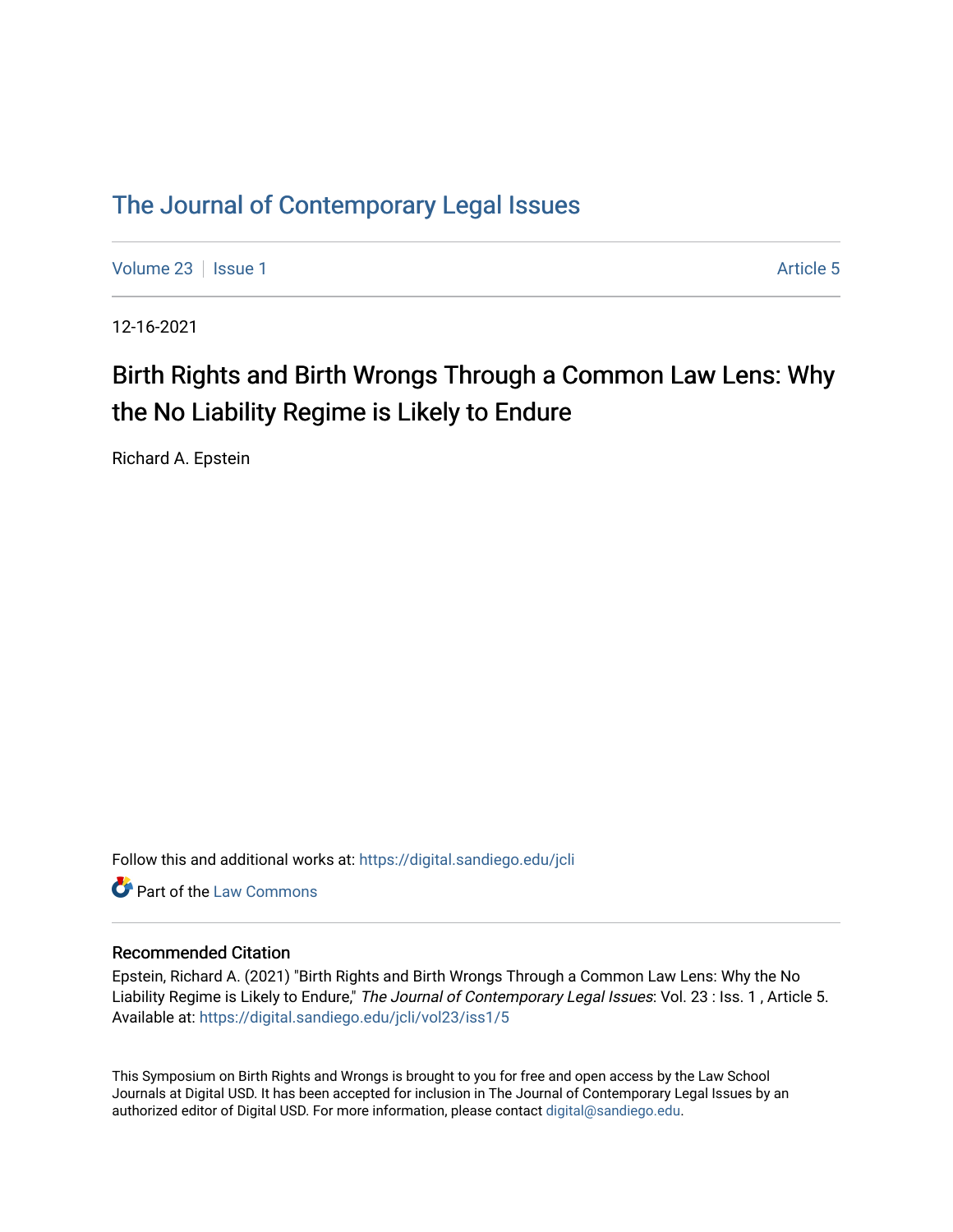### [The Journal of Contemporary Legal Issues](https://digital.sandiego.edu/jcli)

[Volume 23](https://digital.sandiego.edu/jcli/vol23) | [Issue 1](https://digital.sandiego.edu/jcli/vol23/iss1) Article 5

12-16-2021

# Birth Rights and Birth Wrongs Through a Common Law Lens: Why the No Liability Regime is Likely to Endure

Richard A. Epstein

Follow this and additional works at: [https://digital.sandiego.edu/jcli](https://digital.sandiego.edu/jcli?utm_source=digital.sandiego.edu%2Fjcli%2Fvol23%2Fiss1%2F5&utm_medium=PDF&utm_campaign=PDFCoverPages) 

**C** Part of the [Law Commons](http://network.bepress.com/hgg/discipline/578?utm_source=digital.sandiego.edu%2Fjcli%2Fvol23%2Fiss1%2F5&utm_medium=PDF&utm_campaign=PDFCoverPages)

### Recommended Citation

Epstein, Richard A. (2021) "Birth Rights and Birth Wrongs Through a Common Law Lens: Why the No Liability Regime is Likely to Endure," The Journal of Contemporary Legal Issues: Vol. 23 : Iss. 1, Article 5. Available at: [https://digital.sandiego.edu/jcli/vol23/iss1/5](https://digital.sandiego.edu/jcli/vol23/iss1/5?utm_source=digital.sandiego.edu%2Fjcli%2Fvol23%2Fiss1%2F5&utm_medium=PDF&utm_campaign=PDFCoverPages)

This Symposium on Birth Rights and Wrongs is brought to you for free and open access by the Law School Journals at Digital USD. It has been accepted for inclusion in The Journal of Contemporary Legal Issues by an authorized editor of Digital USD. For more information, please contact [digital@sandiego.edu](mailto:digital@sandiego.edu).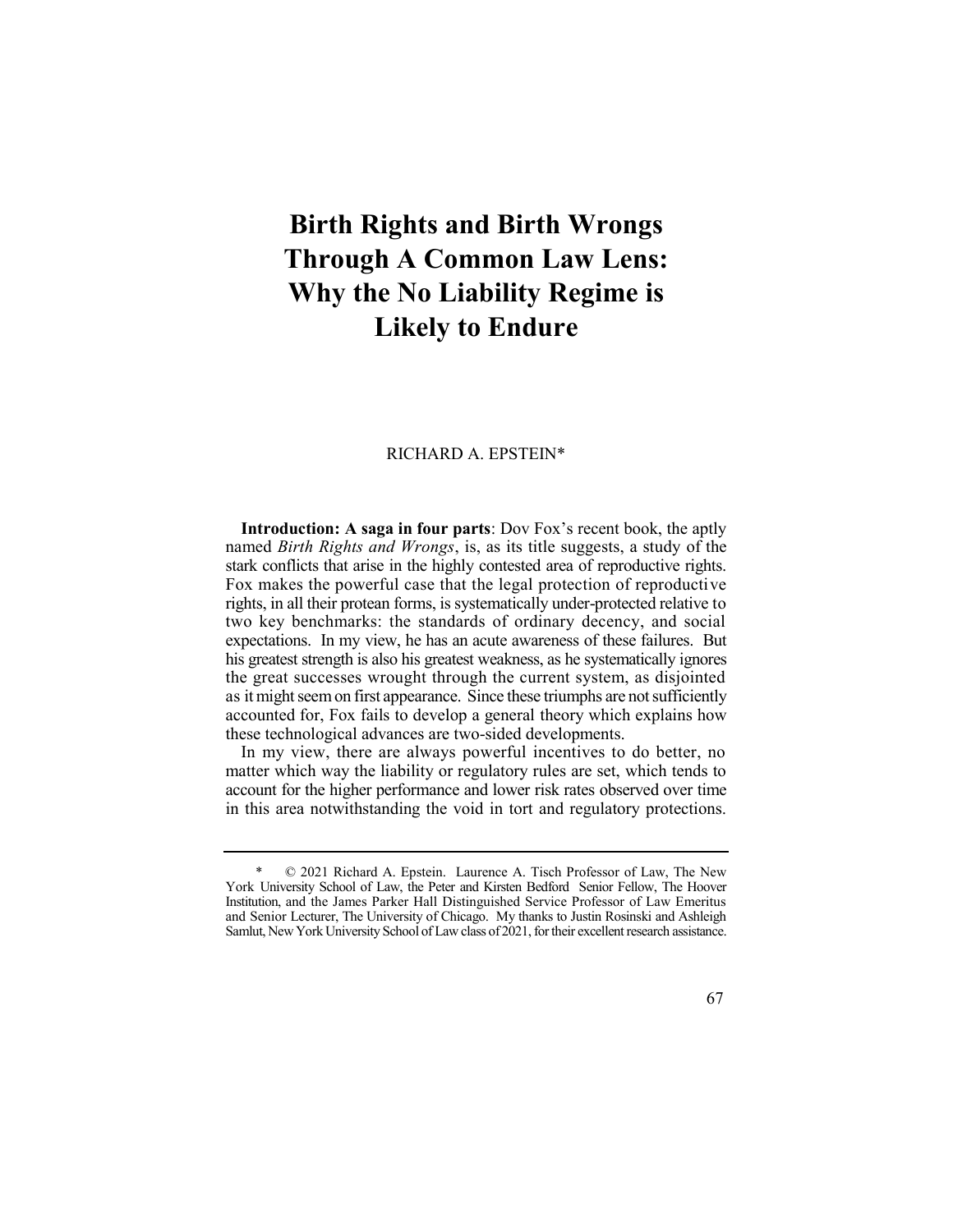# **Birth Rights and Birth Wrongs Through A Common Law Lens: Why the No Liability Regime is Likely to Endure**

#### RICHARD A. EPSTEIN\*

 **Introduction: A saga in four parts**: Dov Fox's recent book, the aptly  named *Birth Rights and Wrongs*, is, as its title suggests, a study of the stark conflicts that arise in the highly contested area of reproductive rights. Fox makes the powerful case that the legal protection of reproductive rights, in all their protean forms, is systematically under-protected relative to two key benchmarks: the standards of ordinary decency, and social expectations. In my view, he has an acute awareness of these failures. But his greatest strength is also his greatest weakness, as he systematically ignores the great successes wrought through the current system, as disjointed as it might seem on first appearance. Since these triumphs are not sufficiently accounted for, Fox fails to develop a general theory which explains how these technological advances are two-sided developments.

 In my view, there are always powerful incentives to do better, no matter which way the liability or regulatory rules are set, which tends to account for the higher performance and lower risk rates observed over time in this area notwithstanding the void in tort and regulatory protections.

 \* © 2021 Richard A. Epstein. Laurence A. Tisch Professor of Law, The New York University School of Law, the Peter and Kirsten Bedford Senior Fellow, The Hoover Institution, and the James Parker Hall Distinguished Service Professor of Law Emeritus and Senior Lecturer, The University of Chicago. My thanks to Justin Rosinski and Ashleigh Samlut, New York University School of Law class of 2021, for their excellent research assistance.

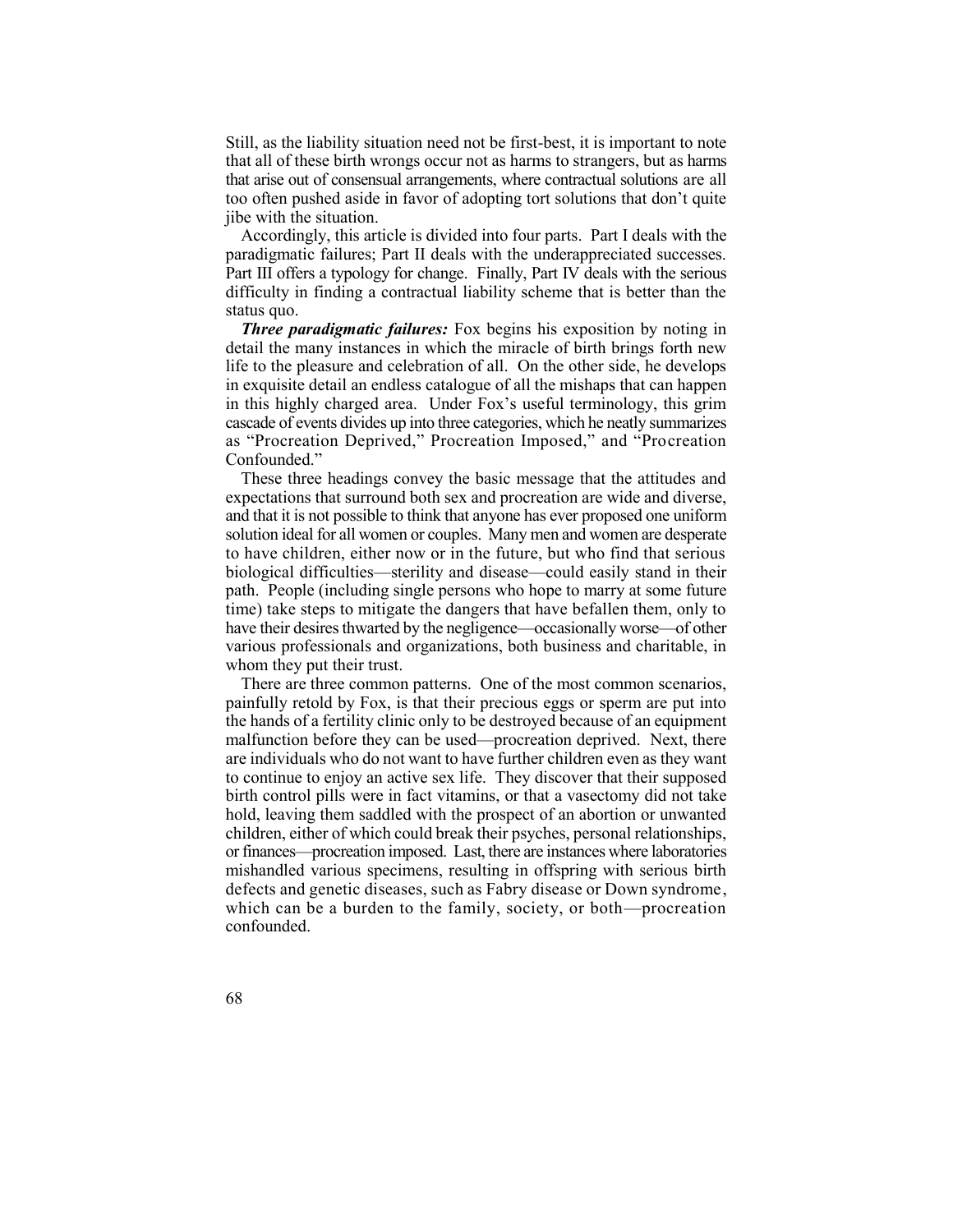Still, as the liability situation need not be first-best, it is important to note that all of these birth wrongs occur not as harms to strangers, but as harms that arise out of consensual arrangements, where contractual solutions are all too often pushed aside in favor of adopting tort solutions that don't quite jibe with the situation.

 Accordingly, this article is divided into four parts. Part I deals with the paradigmatic failures; Part II deals with the underappreciated successes. Part III offers a typology for change. Finally, Part IV deals with the serious difficulty in finding a contractual liability scheme that is better than the status quo.

 *Three paradigmatic failures:* Fox begins his exposition by noting in detail the many instances in which the miracle of birth brings forth new life to the pleasure and celebration of all. On the other side, he develops in exquisite detail an endless catalogue of all the mishaps that can happen in this highly charged area. Under Fox's useful terminology, this grim cascade of events divides up into three categories, which he neatly summarizes as "Procreation Deprived," Procreation Imposed," and "Procreation Confounded."

 These three headings convey the basic message that the attitudes and expectations that surround both sex and procreation are wide and diverse, and that it is not possible to think that anyone has ever proposed one uniform solution ideal for all women or couples. Many men and women are desperate to have children, either now or in the future, but who find that serious time) take steps to mitigate the dangers that have befallen them, only to have their desires thwarted by the negligence—occasionally worse—of other biological difficulties—sterility and disease—could easily stand in their path. People (including single persons who hope to marry at some future various professionals and organizations, both business and charitable, in whom they put their trust.

 painfully retold by Fox, is that their precious eggs or sperm are put into the hands of a fertility clinic only to be destroyed because of an equipment malfunction before they can be used—procreation deprived. Next, there are individuals who do not want to have further children even as they want birth control pills were in fact vitamins, or that a vasectomy did not take hold, leaving them saddled with the prospect of an abortion or unwanted children, either of which could break their psyches, personal relationships, or finances—procreation imposed. Last, there are instances where laboratories mishandled various specimens, resulting in offspring with serious birth defects and genetic diseases, such as Fabry disease or Down syndrome, which can be a burden to the family, society, or both—procreation There are three common patterns. One of the most common scenarios, to continue to enjoy an active sex life. They discover that their supposed confounded.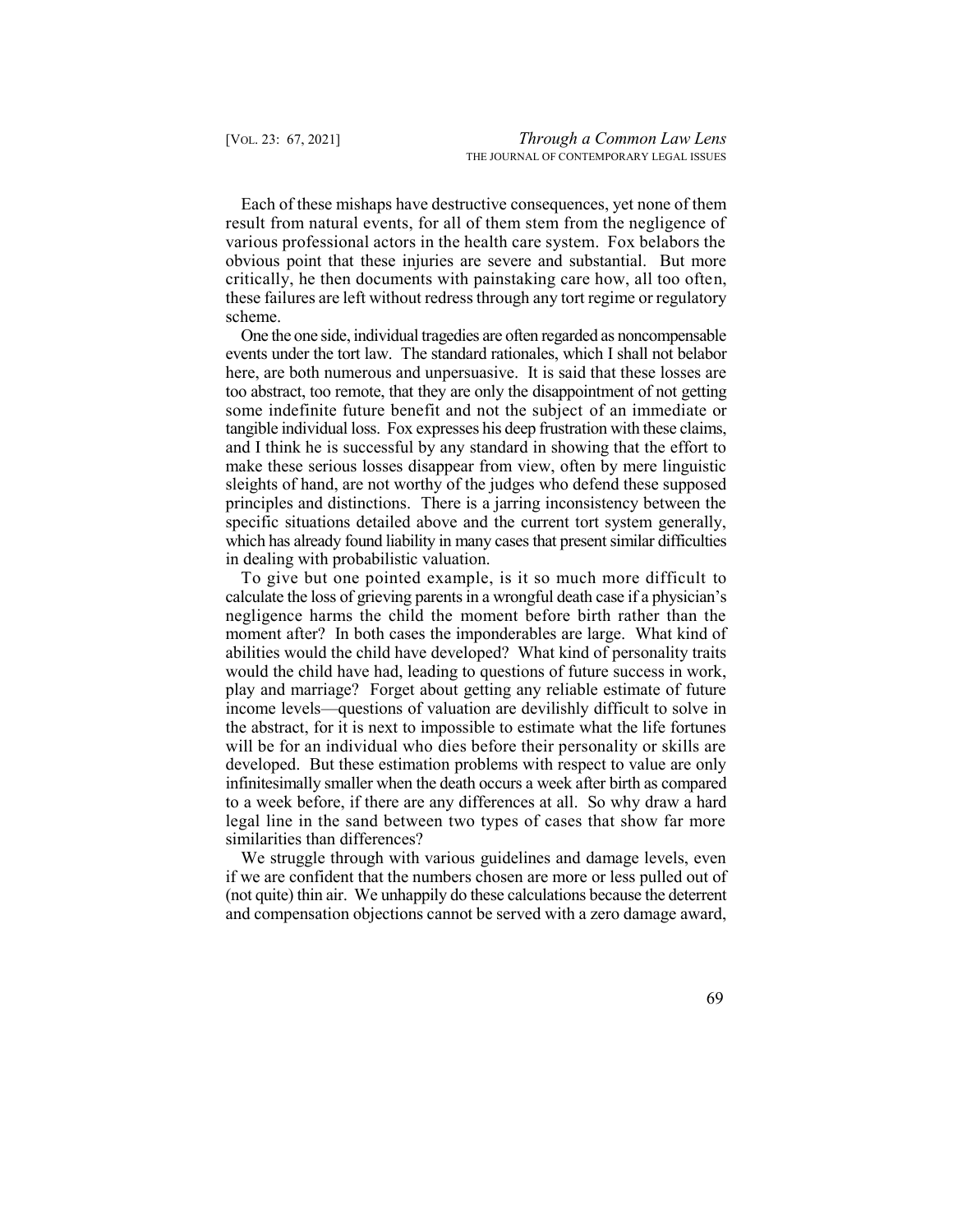Each of these mishaps have destructive consequences, yet none of them result from natural events, for all of them stem from the negligence of various professional actors in the health care system. Fox belabors the obvious point that these injuries are severe and substantial. But more critically, he then documents with painstaking care how, all too often, these failures are left without redress through any tort regime or regulatory scheme.

 One the one side, individual tragedies are often regarded as noncompensable events under the tort law. The standard rationales, which I shall not belabor here, are both numerous and unpersuasive. It is said that these losses are some indefinite future benefit and not the subject of an immediate or tangible individual loss. Fox expresses his deep frustration with these claims, and I think he is successful by any standard in showing that the effort to make these serious losses disappear from view, often by mere linguistic principles and distinctions. There is a jarring inconsistency between the specific situations detailed above and the current tort system generally, which has already found liability in many cases that present similar difficulties too abstract, too remote, that they are only the disappointment of not getting sleights of hand, are not worthy of the judges who defend these supposed in dealing with probabilistic valuation.

 To give but one pointed example, is it so much more difficult to calculate the loss of grieving parents in a wrongful death case if a physician's negligence harms the child the moment before birth rather than the moment after? In both cases the imponderables are large. What kind of play and marriage? Forget about getting any reliable estimate of future income levels—questions of valuation are devilishly difficult to solve in the abstract, for it is next to impossible to estimate what the life fortunes will be for an individual who dies before their personality or skills are developed. But these estimation problems with respect to value are only infinitesimally smaller when the death occurs a week after birth as compared to a week before, if there are any differences at all. So why draw a hard legal line in the sand between two types of cases that show far more abilities would the child have developed? What kind of personality traits would the child have had, leading to questions of future success in work, similarities than differences?

 if we are confident that the numbers chosen are more or less pulled out of (not quite) thin air. We unhappily do these calculations because the deterrent We struggle through with various guidelines and damage levels, even and compensation objections cannot be served with a zero damage award,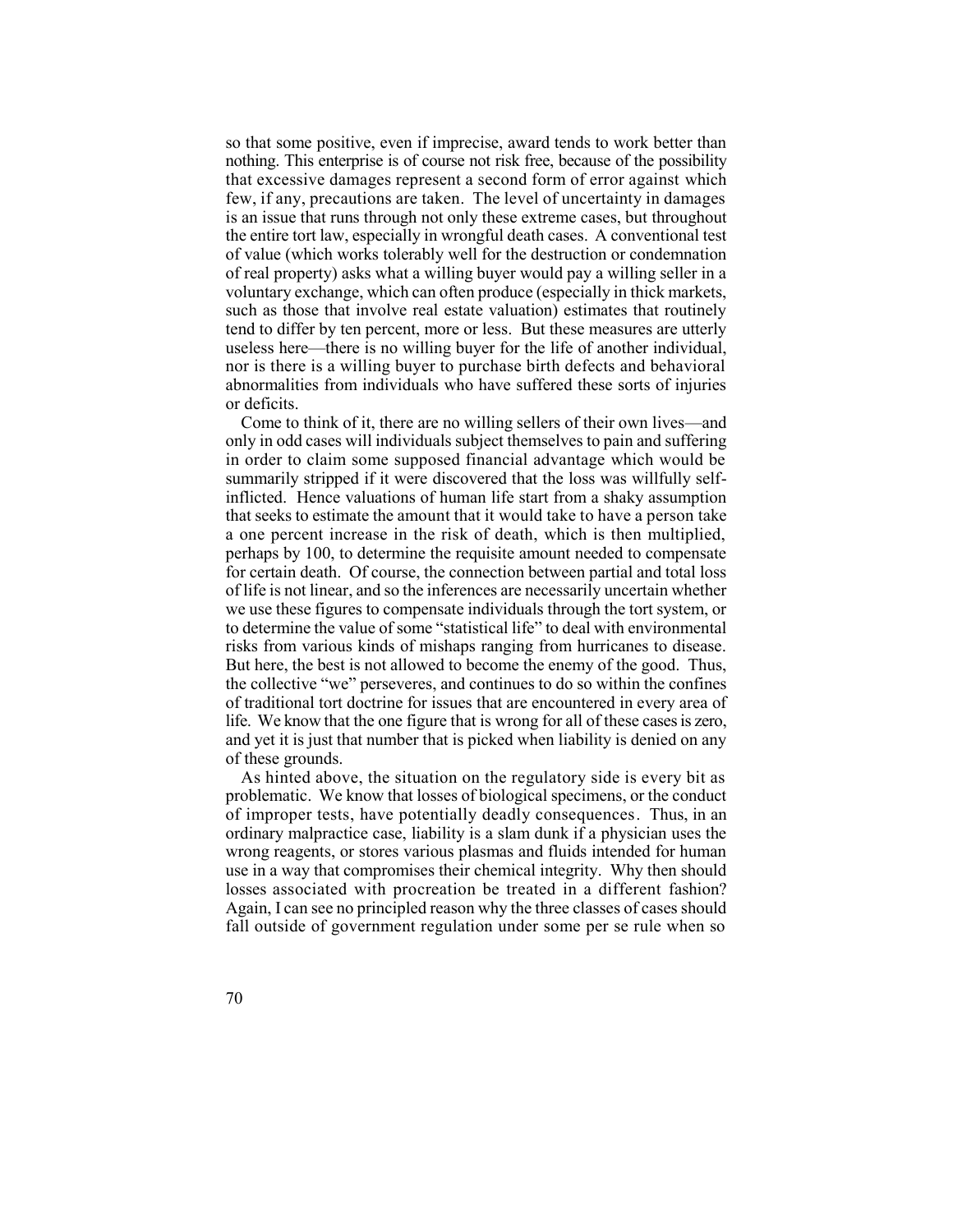so that some positive, even if imprecise, award tends to work better than nothing. This enterprise is of course not risk free, because of the possibility few, if any, precautions are taken. The level of uncertainty in damages the entire tort law, especially in wrongful death cases. A conventional test of value (which works tolerably well for the destruction or condemnation of real property) asks what a willing buyer would pay a willing seller in a voluntary exchange, which can often produce (especially in thick markets, such as those that involve real estate valuation) estimates that routinely useless here—there is no willing buyer for the life of another individual, nor is there is a willing buyer to purchase birth defects and behavioral abnormalities from individuals who have suffered these sorts of injuries that excessive damages represent a second form of error against which is an issue that runs through not only these extreme cases, but throughout tend to differ by ten percent, more or less. But these measures are utterly or deficits.

 Come to think of it, there are no willing sellers of their own lives—and only in odd cases will individuals subject themselves to pain and suffering in order to claim some supposed financial advantage which would be summarily stripped if it were discovered that the loss was willfully self- inflicted. Hence valuations of human life start from a shaky assumption that seeks to estimate the amount that it would take to have a person take a one percent increase in the risk of death, which is then multiplied, for certain death. Of course, the connection between partial and total loss of life is not linear, and so the inferences are necessarily uncertain whether we use these figures to compensate individuals through the tort system, or to determine the value of some "statistical life" to deal with environmental risks from various kinds of mishaps ranging from hurricanes to disease. But here, the best is not allowed to become the enemy of the good. Thus, life. We know that the one figure that is wrong for all of these cases is zero, and yet it is just that number that is picked when liability is denied on any perhaps by 100, to determine the requisite amount needed to compensate the collective "we" perseveres, and continues to do so within the confines of traditional tort doctrine for issues that are encountered in every area of of these grounds.

 As hinted above, the situation on the regulatory side is every bit as problematic. We know that losses of biological specimens, or the conduct of improper tests, have potentially deadly consequences. Thus, in an ordinary malpractice case, liability is a slam dunk if a physician uses the wrong reagents, or stores various plasmas and fluids intended for human use in a way that compromises their chemical integrity. Why then should losses associated with procreation be treated in a different fashion? Again, I can see no principled reason why the three classes of cases should fall outside of government regulation under some per se rule when so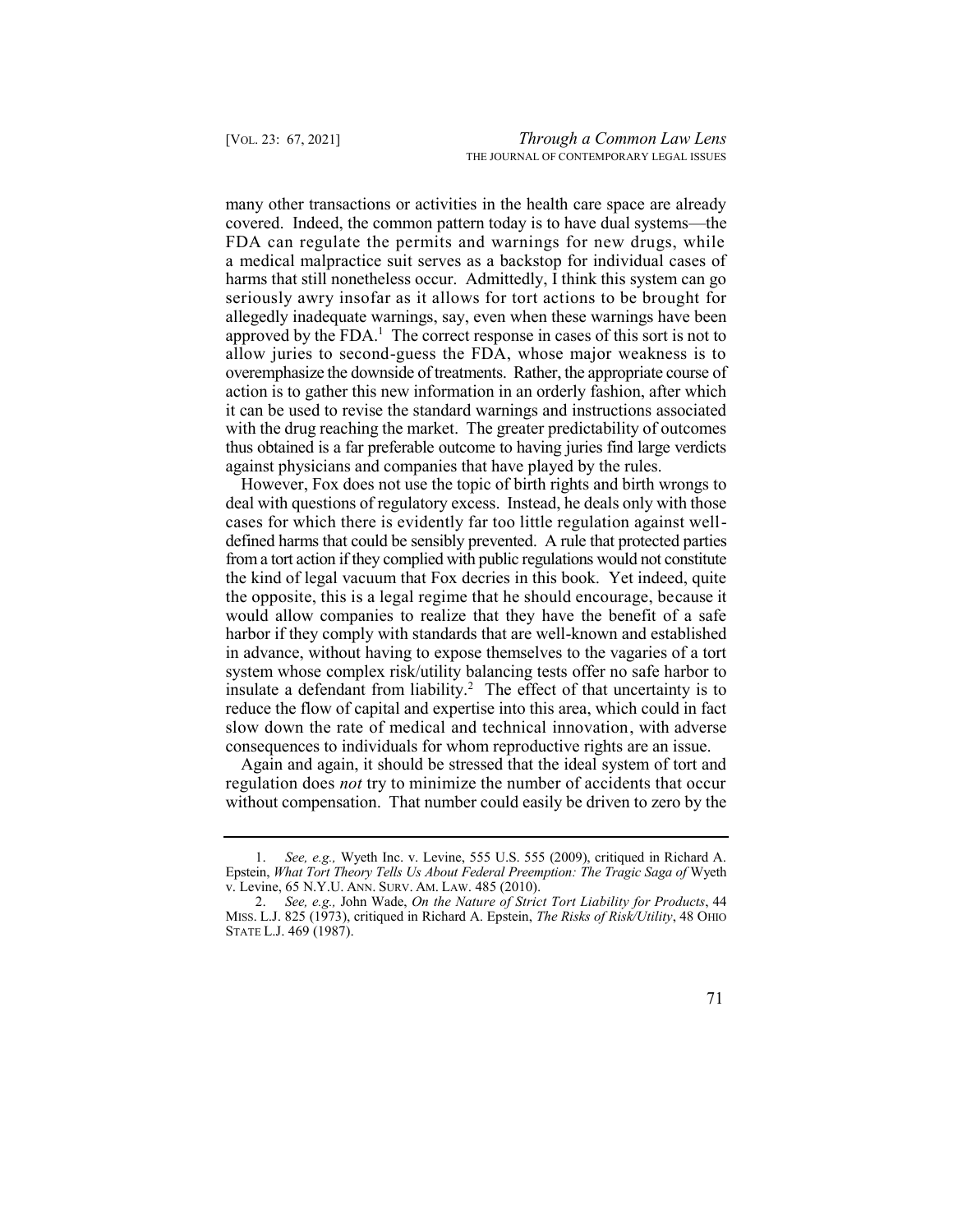many other transactions or activities in the health care space are already FDA can regulate the permits and warnings for new drugs, while approved by the FDA.<sup>1</sup> The correct response in cases of this sort is not to with the drug reaching the market. The greater predictability of outcomes thus obtained is a far preferable outcome to having juries find large verdicts against physicians and companies that have played by the rules. covered. Indeed, the common pattern today is to have dual systems—the a medical malpractice suit serves as a backstop for individual cases of harms that still nonetheless occur. Admittedly, I think this system can go seriously awry insofar as it allows for tort actions to be brought for allegedly inadequate warnings, say, even when these warnings have been allow juries to second-guess the FDA, whose major weakness is to overemphasize the downside of treatments. Rather, the appropriate course of action is to gather this new information in an orderly fashion, after which it can be used to revise the standard warnings and instructions associated

 However, Fox does not use the topic of birth rights and birth wrongs to deal with questions of regulatory excess. Instead, he deals only with those defined harms that could be sensibly prevented. A rule that protected parties from a tort action if they complied with public regulations would not constitute insulate a defendant from liability.<sup>2</sup> The effect of that uncertainty is to cases for which there is evidently far too little regulation against wellthe kind of legal vacuum that Fox decries in this book. Yet indeed, quite the opposite, this is a legal regime that he should encourage, because it would allow companies to realize that they have the benefit of a safe harbor if they comply with standards that are well-known and established in advance, without having to expose themselves to the vagaries of a tort system whose complex risk/utility balancing tests offer no safe harbor to reduce the flow of capital and expertise into this area, which could in fact slow down the rate of medical and technical innovation, with adverse consequences to individuals for whom reproductive rights are an issue.

 Again and again, it should be stressed that the ideal system of tort and regulation does *not* try to minimize the number of accidents that occur without compensation. That number could easily be driven to zero by the

 1. *See, e.g.,* Wyeth Inc. v. Levine, 555 U.S. 555 (2009), critiqued in Richard A. v. Levine, 65 N.Y.U. ANN. SURV. AM. LAW. 485 (2010). Epstein, *What Tort Theory Tells Us About Federal Preemption: The Tragic Saga of* Wyeth

 2. *See, e.g.,* John Wade, *On the Nature of Strict Tort Liability for Products*, 44 MISS. L.J. 825 (1973), critiqued in Richard A. Epstein, *The Risks of Risk/Utility*, 48 OHIO STATE L.J. 469 (1987).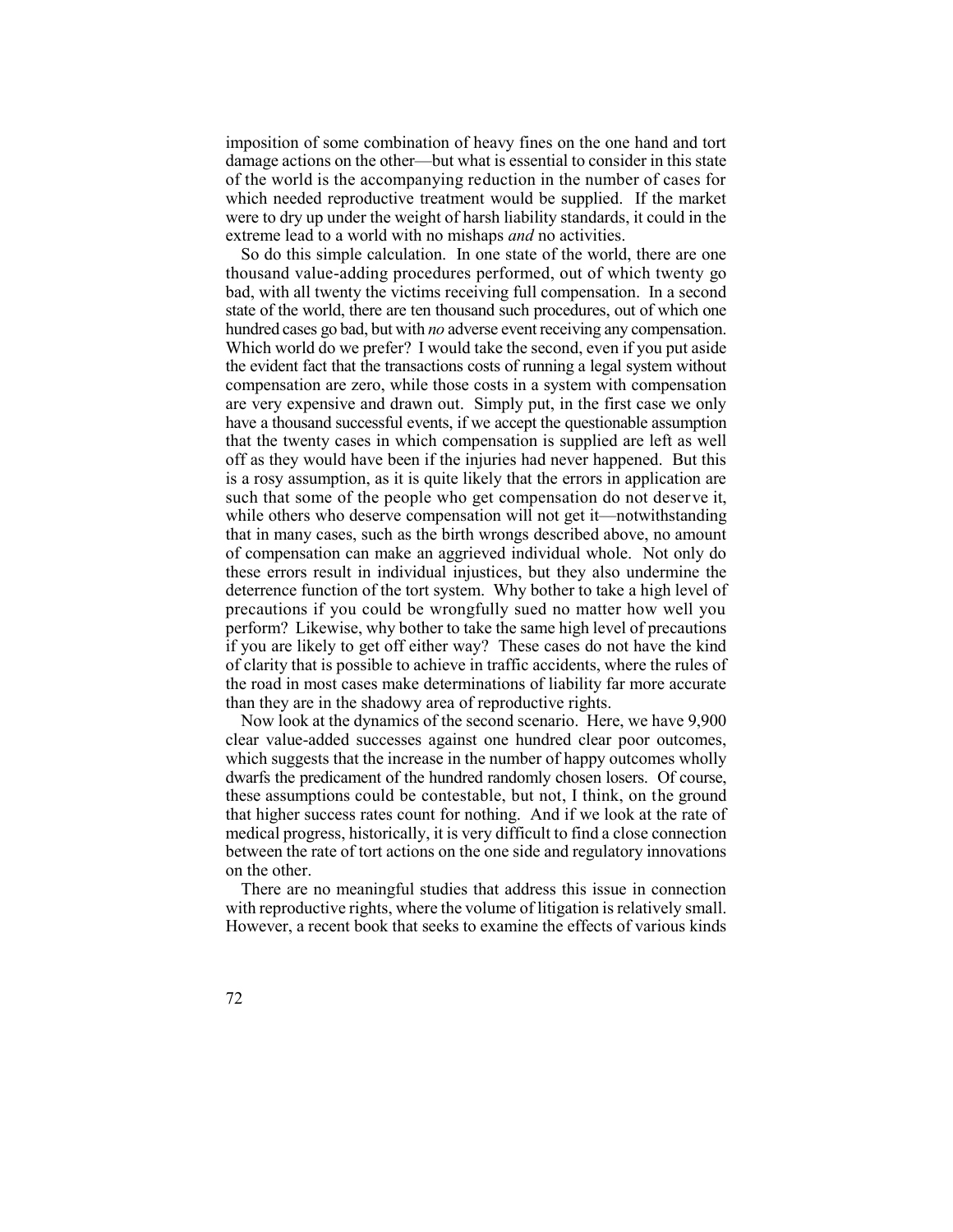imposition of some combination of heavy fines on the one hand and tort damage actions on the other—but what is essential to consider in this state of the world is the accompanying reduction in the number of cases for which needed reproductive treatment would be supplied. If the market were to dry up under the weight of harsh liability standards, it could in the extreme lead to a world with no mishaps *and* no activities.

 thousand value-adding procedures performed, out of which twenty go state of the world, there are ten thousand such procedures, out of which one hundred cases go bad, but with *no* adverse event receiving any compensation. Which world do we prefer? I would take the second, even if you put aside the evident fact that the transactions costs of running a legal system without are very expensive and drawn out. Simply put, in the first case we only have a thousand successful events, if we accept the questionable assumption that the twenty cases in which compensation is supplied are left as well off as they would have been if the injuries had never happened. But this is a rosy assumption, as it is quite likely that the errors in application are such that some of the people who get compensation do not deserve it, while others who deserve compensation will not get it—notwithstanding that in many cases, such as the birth wrongs described above, no amount of compensation can make an aggrieved individual whole. Not only do these errors result in individual injustices, but they also undermine the deterrence function of the tort system. Why bother to take a high level of precautions if you could be wrongfully sued no matter how well you perform? Likewise, why bother to take the same high level of precautions if you are likely to get off either way? These cases do not have the kind of clarity that is possible to achieve in traffic accidents, where the rules of the road in most cases make determinations of liability far more accurate So do this simple calculation. In one state of the world, there are one bad, with all twenty the victims receiving full compensation. In a second compensation are zero, while those costs in a system with compensation than they are in the shadowy area of reproductive rights.

 Now look at the dynamics of the second scenario. Here, we have 9,900 clear value-added successes against one hundred clear poor outcomes, which suggests that the increase in the number of happy outcomes wholly dwarfs the predicament of the hundred randomly chosen losers. Of course, these assumptions could be contestable, but not, I think, on the ground that higher success rates count for nothing. And if we look at the rate of medical progress, historically, it is very difficult to find a close connection between the rate of tort actions on the one side and regulatory innovations on the other.

 There are no meaningful studies that address this issue in connection with reproductive rights, where the volume of litigation is relatively small. However, a recent book that seeks to examine the effects of various kinds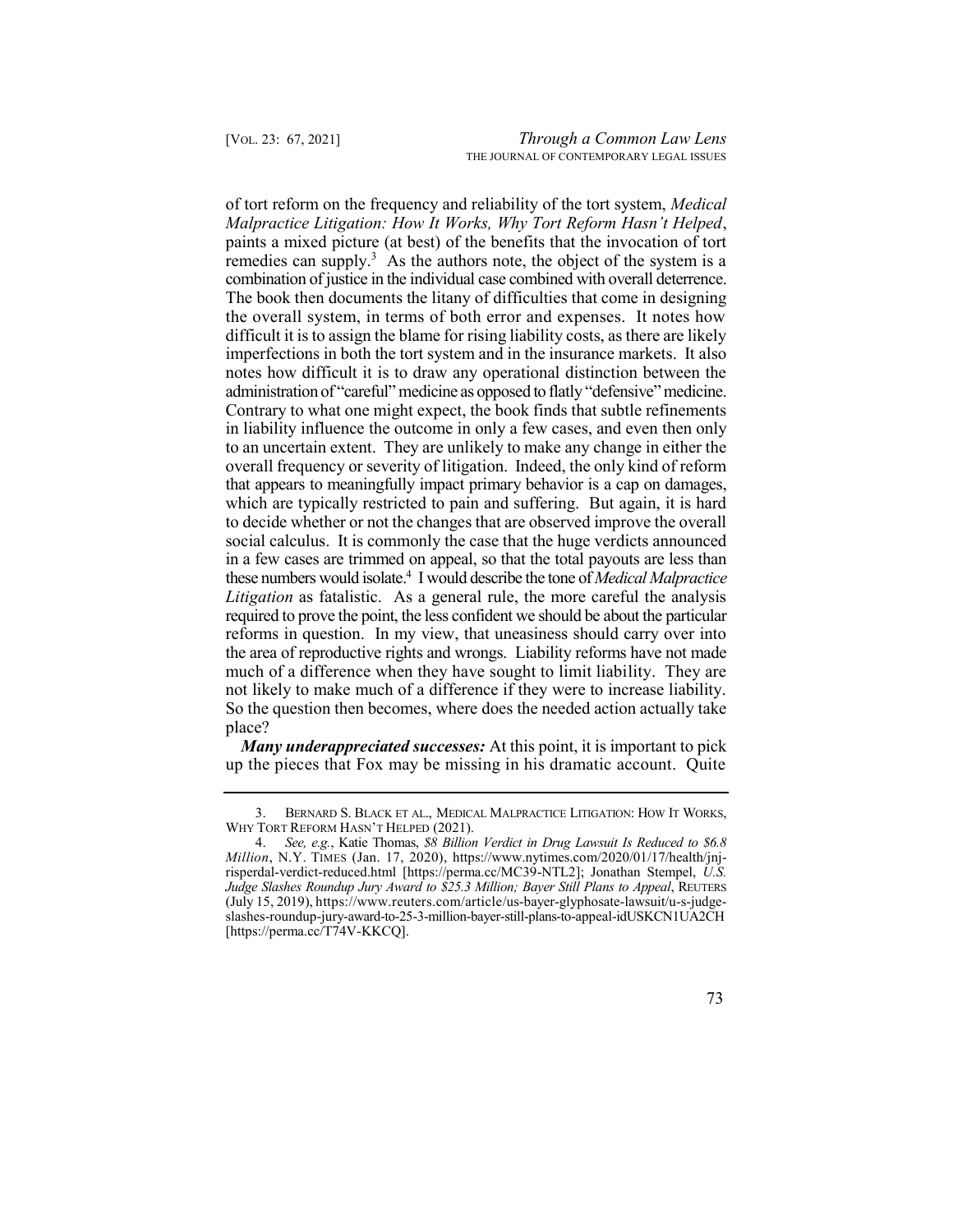remedies can supply.<sup>3</sup> As the authors note, the object of the system is a administration of "careful" medicine as opposed to flatly "defensive" medicine. Contrary to what one might expect, the book finds that subtle refinements to an uncertain extent. They are unlikely to make any change in either the overall frequency or severity of litigation. Indeed, the only kind of reform these numbers would isolate.4 I would describe the tone of *Medical Malpractice*  of tort reform on the frequency and reliability of the tort system, *Medical Malpractice Litigation: How It Works, Why Tort Reform Hasn't Helped*, paints a mixed picture (at best) of the benefits that the invocation of tort combination of justice in the individual case combined with overall deterrence. The book then documents the litany of difficulties that come in designing the overall system, in terms of both error and expenses. It notes how difficult it is to assign the blame for rising liability costs, as there are likely imperfections in both the tort system and in the insurance markets. It also notes how difficult it is to draw any operational distinction between the in liability influence the outcome in only a few cases, and even then only that appears to meaningfully impact primary behavior is a cap on damages, which are typically restricted to pain and suffering. But again, it is hard to decide whether or not the changes that are observed improve the overall social calculus. It is commonly the case that the huge verdicts announced in a few cases are trimmed on appeal, so that the total payouts are less than *Litigation* as fatalistic. As a general rule, the more careful the analysis required to prove the point, the less confident we should be about the particular reforms in question. In my view, that uneasiness should carry over into the area of reproductive rights and wrongs. Liability reforms have not made much of a difference when they have sought to limit liability. They are not likely to make much of a difference if they were to increase liability. So the question then becomes, where does the needed action actually take place?

 *Many underappreciated successes:* At this point, it is important to pick up the pieces that Fox may be missing in his dramatic account. Quite

 *Million*, N.Y. TIMES (Jan. 17, 2020), [https://www.nytimes.com/2020/01/17/health/jnj-](https://www.nytimes.com/2020/01/17/health/jnj-risperdal-verdict-reduced.html) [risperdal-verdict-reduced.html](https://www.nytimes.com/2020/01/17/health/jnj-risperdal-verdict-reduced.html) [<https://perma.cc/MC39-NTL2>]; Jonathan Stempel, *U.S.*  (July 15, 2019)[, https://www.reuters.com/article/us-bayer-glyphosate-lawsuit/u-s-judge-](https://www.reuters.com/article/us-bayer-glyphosate-lawsuit/u-s-judge-slashes-roundup-jury-award-to-25-3-million-bayer-still-plans-to-appeal-idUSKCN1UA2CH)4. *See, e.g.*, Katie Thomas, *\$8 Billion Verdict in Drug Lawsuit Is Reduced to \$6.8 Judge Slashes Roundup Jury Award to \$25.3 Million; Bayer Still Plans to Appeal*, REUTERS [slashes-roundup-jury-award-to-25-3-million-bayer-still-plans-to-appeal-idUSKCN1UA2CH](https://www.reuters.com/article/us-bayer-glyphosate-lawsuit/u-s-judge-slashes-roundup-jury-award-to-25-3-million-bayer-still-plans-to-appeal-idUSKCN1UA2CH)  [[https://perma.cc/T74V-KKCQ\]](https://perma.cc/T74V-KKCQ).



 3. BERNARD S. BLACK ET AL., MEDICAL MALPRACTICE LITIGATION: HOW IT WORKS, WHY TORT REFORM HASN'T HELPED (2021).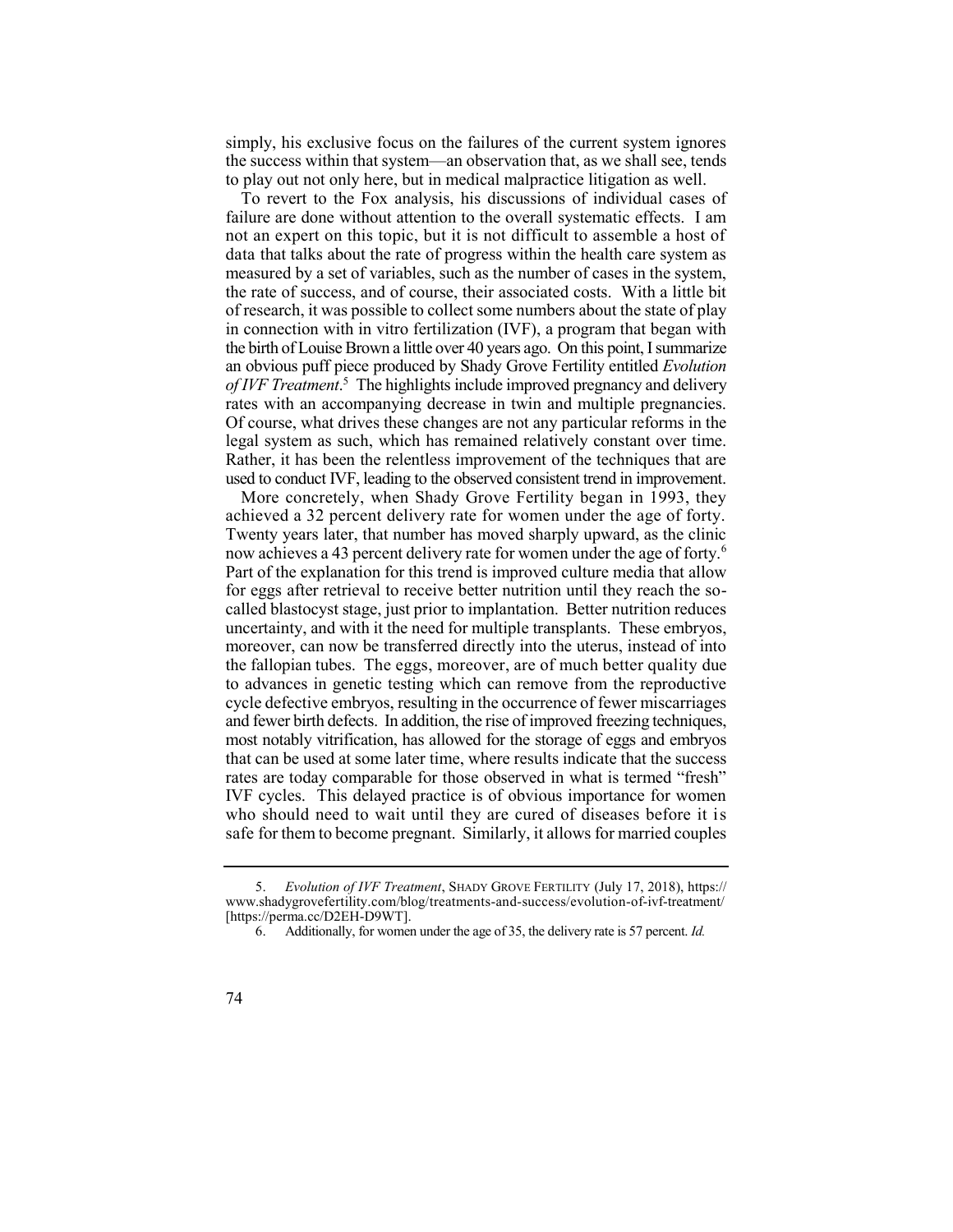simply, his exclusive focus on the failures of the current system ignores the success within that system—an observation that, as we shall see, tends to play out not only here, but in medical malpractice litigation as well.

 To revert to the Fox analysis, his discussions of individual cases of failure are done without attention to the overall systematic effects. I am not an expert on this topic, but it is not difficult to assemble a host of data that talks about the rate of progress within the health care system as  *of IVF Treatment*. 5 The highlights include improved pregnancy and delivery measured by a set of variables, such as the number of cases in the system, the rate of success, and of course, their associated costs. With a little bit of research, it was possible to collect some numbers about the state of play in connection with in vitro fertilization (IVF), a program that began with the birth of Louise Brown a little over 40 years ago. On this point, I summarize an obvious puff piece produced by Shady Grove Fertility entitled *Evolution*  rates with an accompanying decrease in twin and multiple pregnancies. Of course, what drives these changes are not any particular reforms in the legal system as such, which has remained relatively constant over time. Rather, it has been the relentless improvement of the techniques that are used to conduct IVF, leading to the observed consistent trend in improvement.

 More concretely, when Shady Grove Fertility began in 1993, they achieved a 32 percent delivery rate for women under the age of forty. Twenty years later, that number has moved sharply upward, as the clinic now achieves a 43 percent delivery rate for women under the age of forty.<sup>6</sup> Part of the explanation for this trend is improved culture media that allow for eggs after retrieval to receive better nutrition until they reach the so- called blastocyst stage, just prior to implantation. Better nutrition reduces uncertainty, and with it the need for multiple transplants. These embryos, moreover, can now be transferred directly into the uterus, instead of into the fallopian tubes. The eggs, moreover, are of much better quality due to advances in genetic testing which can remove from the reproductive and fewer birth defects. In addition, the rise of improved freezing techniques, most notably vitrification, has allowed for the storage of eggs and embryos that can be used at some later time, where results indicate that the success rates are today comparable for those observed in what is termed "fresh" IVF cycles. This delayed practice is of obvious importance for women who should need to wait until they are cured of diseases before it is safe for them to become pregnant. Similarly, it allows for married couples cycle defective embryos, resulting in the occurrence of fewer miscarriages

 5. *Evolution of IVF Treatment*, SHADY GROVE FERTILITY (July 17, 2018), https:// <www.shadygrovefertility.com/blog/treatments-and-success/evolution-of-ivf-treatment>/ [<https://perma.cc/D2EH-D9WT>].

 6. Additionally, for women under the age of 35, the delivery rate is 57 percent. *Id.* 

<sup>74</sup>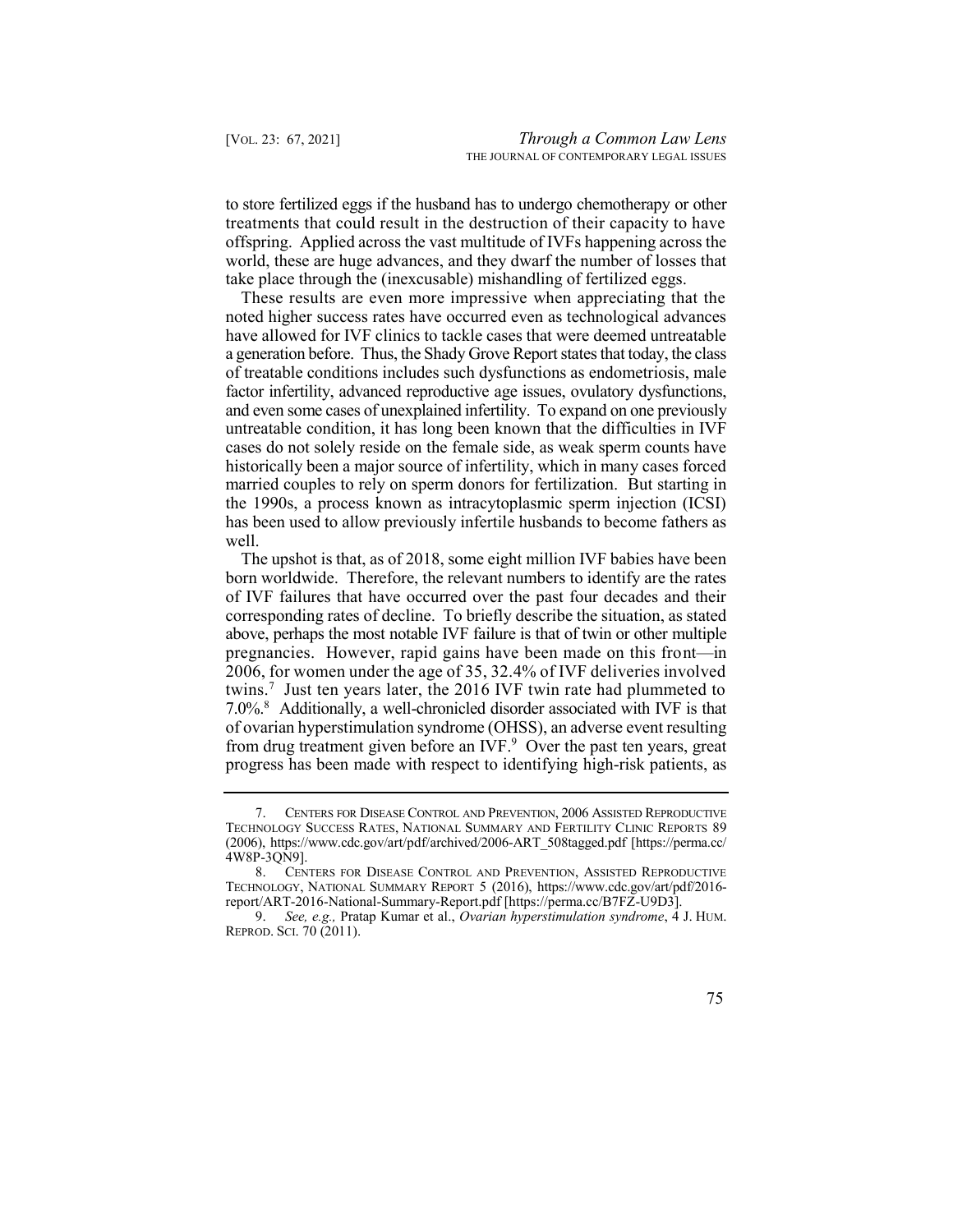to store fertilized eggs if the husband has to undergo chemotherapy or other treatments that could result in the destruction of their capacity to have offspring. Applied across the vast multitude of IVFs happening across the world, these are huge advances, and they dwarf the number of losses that take place through the (inexcusable) mishandling of fertilized eggs.

 These results are even more impressive when appreciating that the noted higher success rates have occurred even as technological advances a generation before. Thus, the Shady Grove Report states that today, the class factor infertility, advanced reproductive age issues, ovulatory dysfunctions, and even some cases of unexplained infertility. To expand on one previously untreatable condition, it has long been known that the difficulties in IVF cases do not solely reside on the female side, as weak sperm counts have historically been a major source of infertility, which in many cases forced married couples to rely on sperm donors for fertilization. But starting in the 1990s, a process known as intracytoplasmic sperm injection (ICSI) has been used to allow previously infertile husbands to become fathers as have allowed for IVF clinics to tackle cases that were deemed untreatable of treatable conditions includes such dysfunctions as endometriosis, male well.

 The upshot is that, as of 2018, some eight million IVF babies have been born worldwide. Therefore, the relevant numbers to identify are the rates of IVF failures that have occurred over the past four decades and their twins.<sup>7</sup> Just ten years later, the 2016 IVF twin rate had plummeted to 7.0%. 8 Additionally, a well-chronicled disorder associated with IVF is that from drug treatment given before an IVF.<sup>9</sup> Over the past ten years, great corresponding rates of decline. To briefly describe the situation, as stated above, perhaps the most notable IVF failure is that of twin or other multiple pregnancies. However, rapid gains have been made on this front—in 2006, for women under the age of 35, 32.4% of IVF deliveries involved of ovarian hyperstimulation syndrome (OHSS), an adverse event resulting progress has been made with respect to identifying high-risk patients, as

 9. *See, e.g.,* Pratap Kumar et al., *Ovarian hyperstimulation syndrome*, 4 J. HUM. REPROD. SCI. 70 (2011).



 7. CENTERS FOR DISEASE CONTROL AND PREVENTION, 2006 ASSISTED REPRODUCTIVE TECHNOLOGY SUCCESS RATES, NATIONAL SUMMARY AND FERTILITY CLINIC REPORTS 89 (2006), [https://www.cdc.gov/art/pdf/archived/2006-ART\\_508tagged.pdf](https://www.cdc.gov/art/pdf/archived/2006-ART_508tagged.pdf) [[https://perma.cc/](https://perma.cc) 4W8P-3QN9].

 8. CENTERS FOR DISEASE CONTROL AND PREVENTION, ASSISTED REPRODUCTIVE TECHNOLOGY, NATIONAL SUMMARY REPORT 5 (2016), <https://www.cdc.gov/art/pdf/2016> report/ART-2016-National-Summary-Report.pdf [\[https://perma.cc/B7FZ-U9D3](https://perma.cc/B7FZ-U9D3)].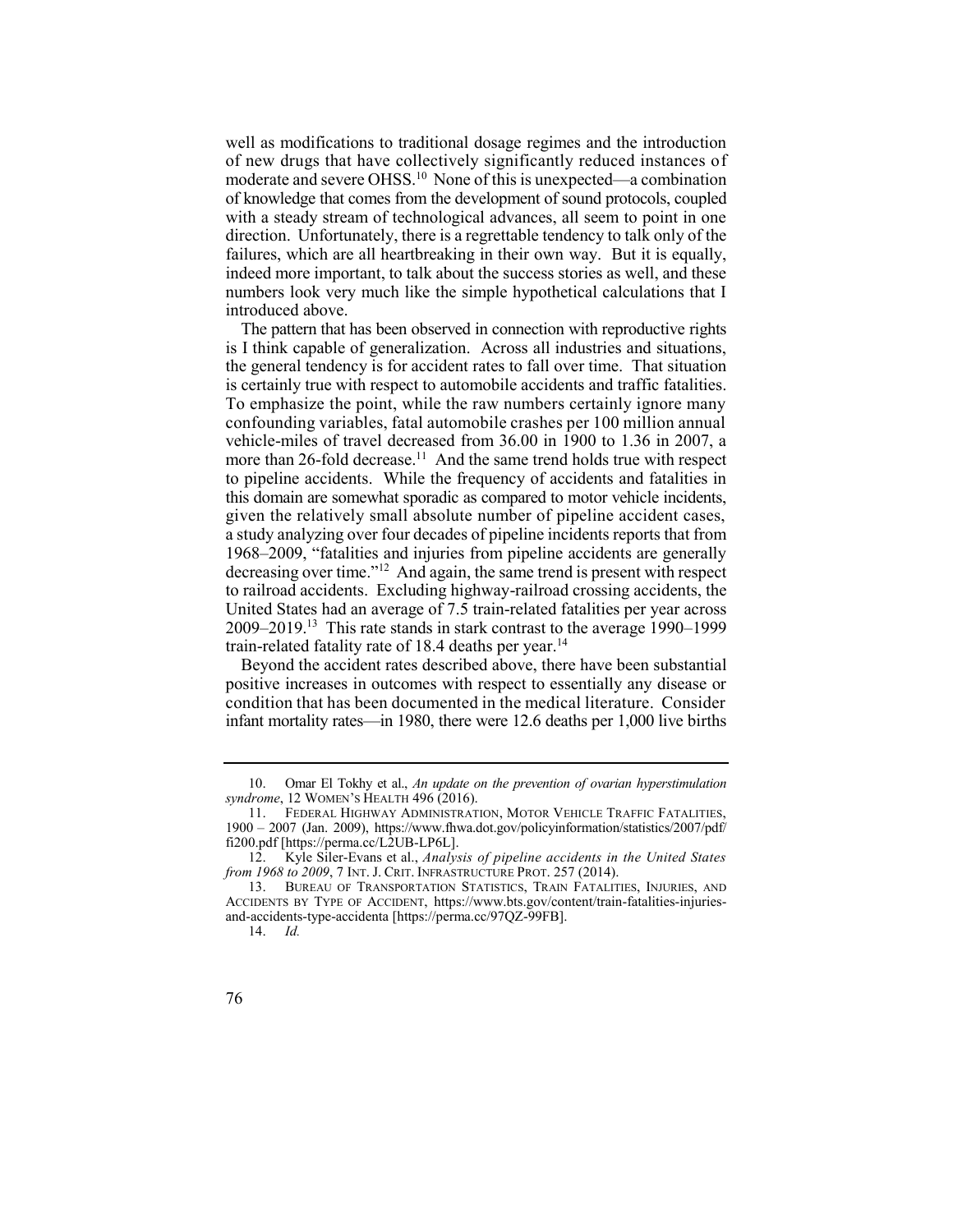well as modifications to traditional dosage regimes and the introduction of new drugs that have collectively significantly reduced instances of moderate and severe OHSS.<sup>10</sup> None of this is unexpected—a combination of knowledge that comes from the development of sound protocols, coupled with a steady stream of technological advances, all seem to point in one direction. Unfortunately, there is a regrettable tendency to talk only of the failures, which are all heartbreaking in their own way. But it is equally, indeed more important, to talk about the success stories as well, and these numbers look very much like the simple hypothetical calculations that I introduced above.

 is I think capable of generalization. Across all industries and situations, the general tendency is for accident rates to fall over time. That situation is certainly true with respect to automobile accidents and traffic fatalities. To emphasize the point, while the raw numbers certainly ignore many confounding variables, fatal automobile crashes per 100 million annual vehicle-miles of travel decreased from 36.00 in 1900 to 1.36 in 2007, a more than 26-fold decrease.<sup>11</sup> And the same trend holds true with respect to pipeline accidents. While the frequency of accidents and fatalities in this domain are somewhat sporadic as compared to motor vehicle incidents, given the relatively small absolute number of pipeline accident cases, a study analyzing over four decades of pipeline incidents reports that from 1968–2009, "fatalities and injuries from pipeline accidents are generally decreasing over time."<sup>12</sup> And again, the same trend is present with respect to railroad accidents. Excluding highway-railroad crossing accidents, the 2009–2019.<sup>13</sup> This rate stands in stark contrast to the average 1990–1999 The pattern that has been observed in connection with reproductive rights United States had an average of 7.5 train-related fatalities per year across train-related fatality rate of 18.4 deaths per year.<sup>14</sup>

 positive increases in outcomes with respect to essentially any disease or condition that has been documented in the medical literature. Consider infant mortality rates—in 1980, there were 12.6 deaths per 1,000 live births Beyond the accident rates described above, there have been substantial

 10. Omar El Tokhy et al., *An update on the prevention of ovarian hyperstimulation syndrome*, 12 WOMEN'S HEALTH 496 (2016).

<sup>11.</sup> FEDERAL HIGHWAY ADMINISTRATION, MOTOR VEHICLE TRAFFIC FATALITIES, 1900 – 2007 (Jan. 2009), [https://www.fhwa.dot.gov/policyinformation/statistics/2007/pdf/](https://www.fhwa.dot.gov/policyinformation/statistics/2007/pdf) fi200.pdf [[https://perma.cc/L2UB-LP6L\]](https://perma.cc/L2UB-LP6L).

<sup>12.</sup> Kyle Siler-Evans et al., *Analysis of pipeline accidents in the United States from 1968 to 2009*, 7 INT. J. CRIT. INFRASTRUCTURE PROT. 257 (2014).

 ACCIDENTS BY TYPE OF ACCIDENT, [https://www.bts.gov/content/train-fatalities-injuries-](https://www.bts.gov/content/train-fatalities-injuries-and-accidents-type-accidenta)13. BUREAU OF TRANSPORTATION STATISTICS, TRAIN FATALITIES, INJURIES, AND [and-accidents-type-accidenta](https://www.bts.gov/content/train-fatalities-injuries-and-accidents-type-accidenta) [\[https://perma.cc/97QZ-99FB](https://perma.cc/97QZ-99FB)].

<sup>14.</sup> *Id.* 

<sup>76</sup>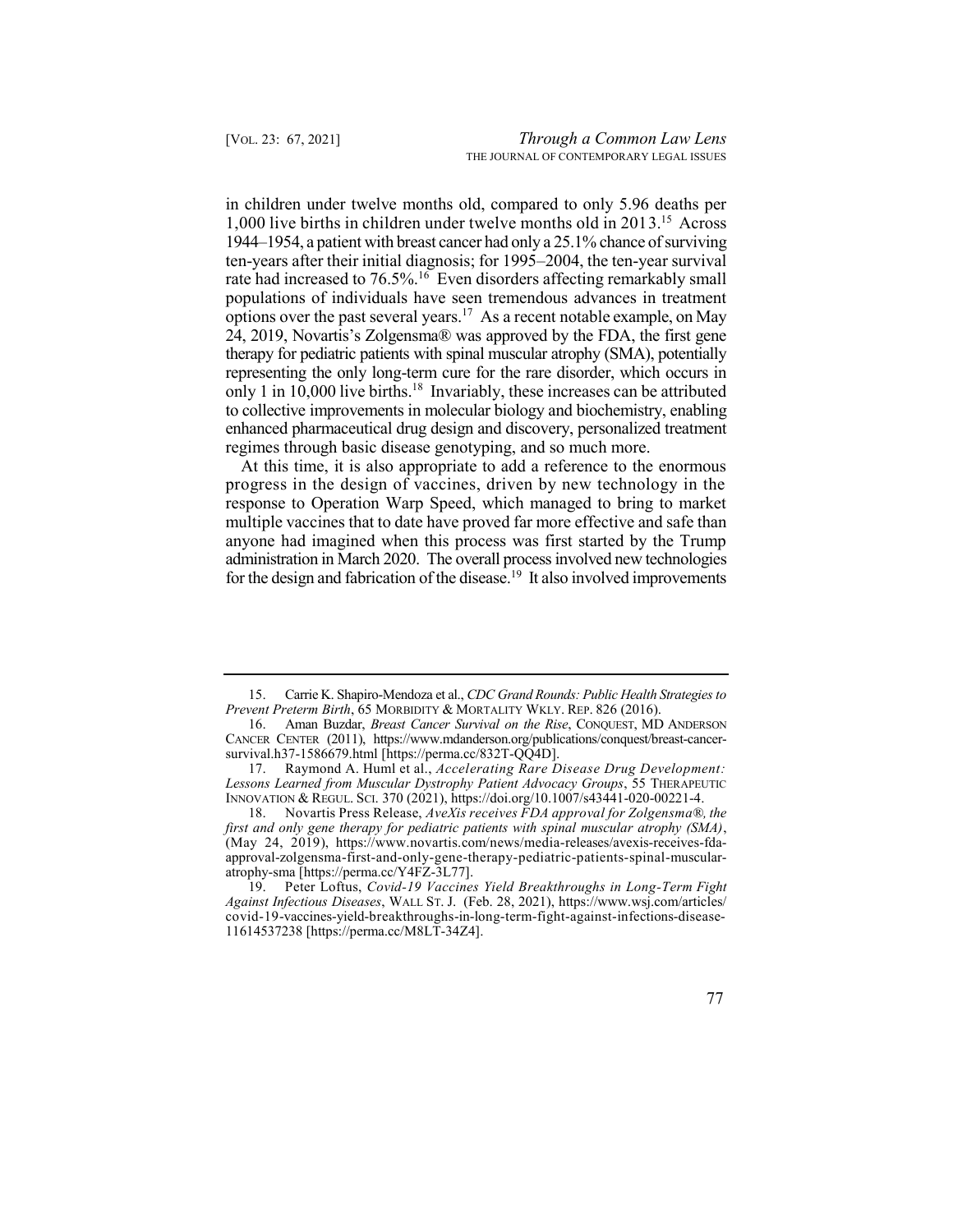1,000 live births in children under twelve months old in 2013.15 Across rate had increased to 76.5%.<sup>16</sup> Even disorders affecting remarkably small options over the past several years.<sup>17</sup> As a recent notable example, on May 24, 2019, Novartis's Zolgensma® was approved by the FDA, the first gene therapy for pediatric patients with spinal muscular atrophy (SMA), potentially only 1 in 10,000 live births.<sup>18</sup> Invariably, these increases can be attributed in children under twelve months old, compared to only 5.96 deaths per 1944–1954, a patient with breast cancer had only a 25.1% chance of surviving ten-years after their initial diagnosis; for 1995–2004, the ten-year survival populations of individuals have seen tremendous advances in treatment representing the only long-term cure for the rare disorder, which occurs in to collective improvements in molecular biology and biochemistry, enabling enhanced pharmaceutical drug design and discovery, personalized treatment regimes through basic disease genotyping, and so much more.

 At this time, it is also appropriate to add a reference to the enormous progress in the design of vaccines, driven by new technology in the for the design and fabrication of the disease.<sup>19</sup> It also involved improvements response to Operation Warp Speed, which managed to bring to market multiple vaccines that to date have proved far more effective and safe than anyone had imagined when this process was first started by the Trump administration in March 2020. The overall process involved new technologies

 15. Carrie K. Shapiro-Mendoza et al., *CDC Grand Rounds: Public Health Strategies to Prevent Preterm Birth*, 65 MORBIDITY & MORTALITY WKLY. REP. 826 (2016).

 16. Aman Buzdar, *Breast Cancer Survival on the Rise*, CONQUEST, MD ANDERSON CANCER CENTER (2011), <https://www.mdanderson.org/publications/conquest/breast-cancer>survival.h37-1586679.html [\[https://perma.cc/832T-QQ4D](https://perma.cc/832T-QQ4D)].

 17. Raymond A. Huml et al., *Accelerating Rare Disease Drug Development:*  INNOVATION & REGUL. SCI. 370 (2021), <https://doi.org/10.1007/s43441-020-00221-4>. *Lessons Learned from Muscular Dystrophy Patient Advocacy Groups*, 55 THERAPEUTIC

 18. Novartis Press Release, *AveXis receives FDA approval for Zolgensma®, the*  (May 24, 2019), [https://www.novartis.com/news/media-releases/avexis-receives-fda](https://www.novartis.com/news/media-releases/avexis-receives-fda-approval-zolgensma-first-and-only-gene-therapy-pediatric-patients-spinal-muscular-atrophy-sma)*first and only gene therapy for pediatric patients with spinal muscular atrophy (SMA)*, [approval-zolgensma-first-and-only-gene-therapy-pediatric-patients-spinal-muscular](https://www.novartis.com/news/media-releases/avexis-receives-fda-approval-zolgensma-first-and-only-gene-therapy-pediatric-patients-spinal-muscular-atrophy-sma)[atrophy-sma](https://www.novartis.com/news/media-releases/avexis-receives-fda-approval-zolgensma-first-and-only-gene-therapy-pediatric-patients-spinal-muscular-atrophy-sma) [\[https://perma.cc/Y4FZ-3L77\]](https://perma.cc/Y4FZ-3L77).

 19. Peter Loftus, *Covid-19 Vaccines Yield Breakthroughs in Long-Term Fight Against Infectious Diseases*, WALL ST. J. (Feb. 28, 2021), <https://www.wsj.com/articles>/ covid-19-vaccines-yield-breakthroughs-in-long-term-fight-against-infections-disease-11614537238 [<https://perma.cc/M8LT-34Z4>].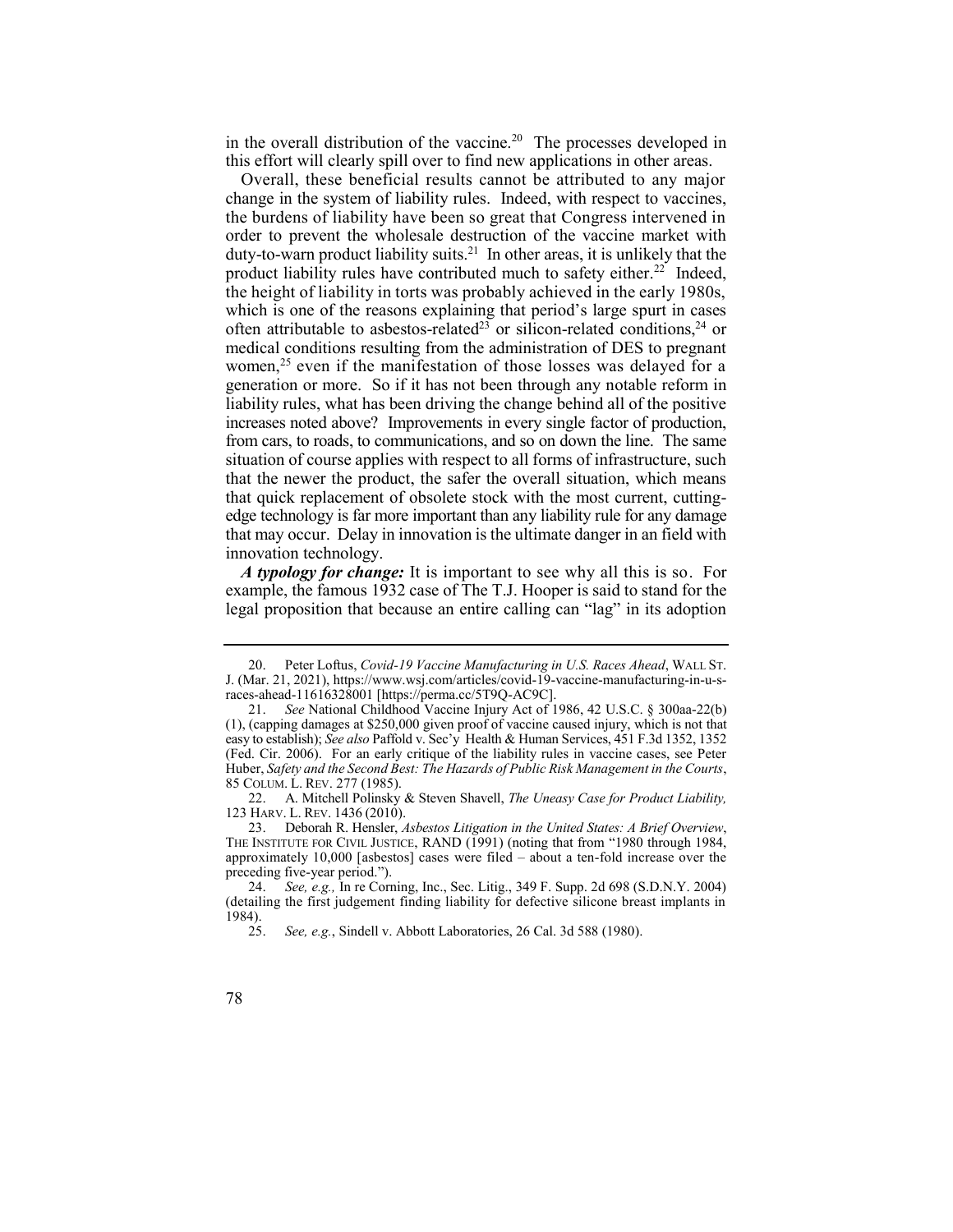in the overall distribution of the vaccine.<sup>20</sup> The processes developed in this effort will clearly spill over to find new applications in other areas.

 Overall, these beneficial results cannot be attributed to any major duty-to-warn product liability suits.<sup>21</sup> In other areas, it is unlikely that the product liability rules have contributed much to safety either.<sup>22</sup> Indeed, often attributable to asbestos-related<sup>23</sup> or silicon-related conditions,<sup>24</sup> or women, $25$  even if the manifestation of those losses was delayed for a change in the system of liability rules. Indeed, with respect to vaccines, the burdens of liability have been so great that Congress intervened in order to prevent the wholesale destruction of the vaccine market with the height of liability in torts was probably achieved in the early 1980s, which is one of the reasons explaining that period's large spurt in cases medical conditions resulting from the administration of DES to pregnant generation or more. So if it has not been through any notable reform in liability rules, what has been driving the change behind all of the positive increases noted above? Improvements in every single factor of production, from cars, to roads, to communications, and so on down the line. The same situation of course applies with respect to all forms of infrastructure, such that the newer the product, the safer the overall situation, which means that quick replacement of obsolete stock with the most current, cuttingedge technology is far more important than any liability rule for any damage that may occur. Delay in innovation is the ultimate danger in an field with innovation technology.

 *A typology for change:* It is important to see why all this is so. For example, the famous 1932 case of The T.J. Hooper is said to stand for the legal proposition that because an entire calling can "lag" in its adoption

 J. (Mar. 21, 2021), [https://www.wsj.com/articles/covid-19-vaccine-manufacturing-in-u-s-](https://www.wsj.com/articles/covid-19-vaccine-manufacturing-in-u-s-races-ahead-11616328001)20. Peter Loftus, *Covid-19 Vaccine Manufacturing in U.S. Races Ahead*, WALL ST. [races-ahead-11616328001](https://www.wsj.com/articles/covid-19-vaccine-manufacturing-in-u-s-races-ahead-11616328001) [\[https://perma.cc/5T9Q-AC9C](https://perma.cc/5T9Q-AC9C)].

 21. *See* National Childhood Vaccine Injury Act of 1986, 42 U.S.C. § 300aa-22(b) (1), (capping damages at \$250,000 given proof of vaccine caused injury, which is not that easy to establish); *See also* Paffold v. Sec'y Health & Human Services, 451 F.3d 1352, 1352 (Fed. Cir. 2006). For an early critique of the liability rules in vaccine cases, see Peter Huber, *Safety and the Second Best: The Hazards of Public Risk Management in the Courts*, 85 COLUM. L. REV. 277 (1985).

 22. A. Mitchell Polinsky & Steven Shavell, *The Uneasy Case for Product Liability,*  123 HARV. L. REV. 1436 (2010).

 23. Deborah R. Hensler, *Asbestos Litigation in the United States: A Brief Overview*, THE INSTITUTE FOR CIVIL JUSTICE, RAND (1991) (noting that from "1980 through 1984, approximately 10,000 [asbestos] cases were filed – about a ten-fold increase over the preceding five-year period.").

 24. *See, e.g.,* In re Corning, Inc., Sec. Litig., 349 F. Supp. 2d 698 (S.D.N.Y. 2004) (detailing the first judgement finding liability for defective silicone breast implants in 1984).

 25. *See, e.g.*, Sindell v. Abbott Laboratories, 26 Cal. 3d 588 (1980).

<sup>78</sup>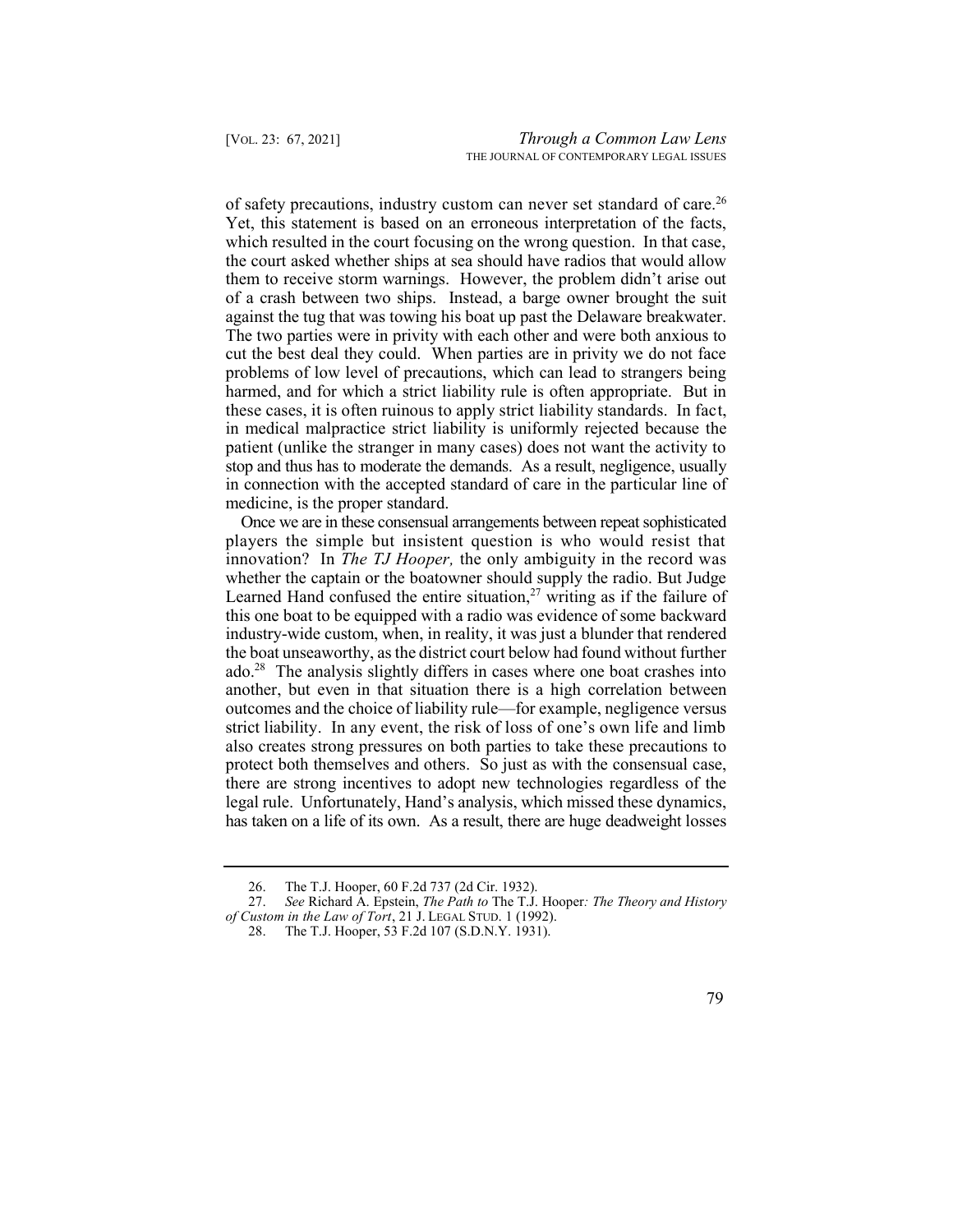of safety precautions, industry custom can never set standard of care.<sup>26</sup> Yet, this statement is based on an erroneous interpretation of the facts, which resulted in the court focusing on the wrong question. In that case, the court asked whether ships at sea should have radios that would allow them to receive storm warnings. However, the problem didn't arise out of a crash between two ships. Instead, a barge owner brought the suit against the tug that was towing his boat up past the Delaware breakwater. cut the best deal they could. When parties are in privity we do not face problems of low level of precautions, which can lead to strangers being harmed, and for which a strict liability rule is often appropriate. But in these cases, it is often ruinous to apply strict liability standards. In fact, in medical malpractice strict liability is uniformly rejected because the patient (unlike the stranger in many cases) does not want the activity to stop and thus has to moderate the demands. As a result, negligence, usually in connection with the accepted standard of care in the particular line of The two parties were in privity with each other and were both anxious to medicine, is the proper standard.

 Once we are in these consensual arrangements between repeat sophisticated Learned Hand confused the entire situation, $27$  writing as if the failure of ado.28 The analysis slightly differs in cases where one boat crashes into players the simple but insistent question is who would resist that innovation? In *The TJ Hooper,* the only ambiguity in the record was whether the captain or the boatowner should supply the radio. But Judge this one boat to be equipped with a radio was evidence of some backward industry-wide custom, when, in reality, it was just a blunder that rendered the boat unseaworthy, as the district court below had found without further another, but even in that situation there is a high correlation between outcomes and the choice of liability rule—for example, negligence versus strict liability. In any event, the risk of loss of one's own life and limb also creates strong pressures on both parties to take these precautions to protect both themselves and others. So just as with the consensual case, there are strong incentives to adopt new technologies regardless of the legal rule. Unfortunately, Hand's analysis, which missed these dynamics, has taken on a life of its own. As a result, there are huge deadweight losses

 26. The T.J. Hooper, 60 F.2d 737 (2d Cir. 1932).

 27. *See* Richard A. Epstein, *The Path to* The T.J. Hooper*: The Theory and History of Custom in the Law of Tort*, 21 J. LEGAL STUD. 1 (1992).

 28. The T.J. Hooper, 53 F.2d 107 (S.D.N.Y. 1931).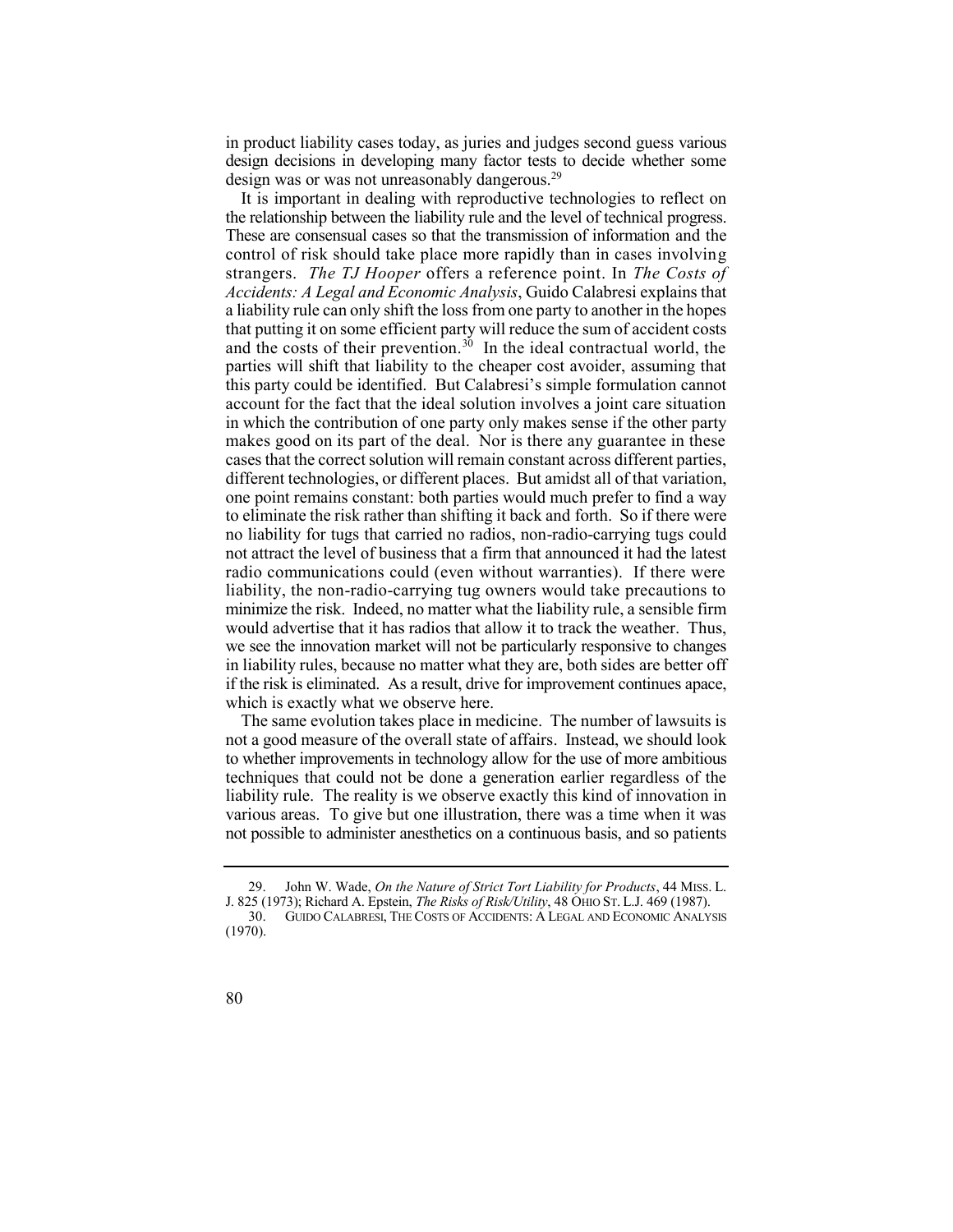in product liability cases today, as juries and judges second guess various design was or was not unreasonably dangerous.<sup>29</sup> design decisions in developing many factor tests to decide whether some

 It is important in dealing with reproductive technologies to reflect on the relationship between the liability rule and the level of technical progress. and the costs of their prevention.<sup>30</sup> In the ideal contractual world, the different technologies, or different places. But amidst all of that variation, to eliminate the risk rather than shifting it back and forth. So if there were no liability for tugs that carried no radios, non-radio-carrying tugs could not attract the level of business that a firm that announced it had the latest radio communications could (even without warranties). If there were liability, the non-radio-carrying tug owners would take precautions to minimize the risk. Indeed, no matter what the liability rule, a sensible firm would advertise that it has radios that allow it to track the weather. Thus, we see the innovation market will not be particularly responsive to changes in liability rules, because no matter what they are, both sides are better off if the risk is eliminated. As a result, drive for improvement continues apace, These are consensual cases so that the transmission of information and the control of risk should take place more rapidly than in cases involving strangers. *The TJ Hooper* offers a reference point. In *The Costs of Accidents: A Legal and Economic Analysis*, Guido Calabresi explains that a liability rule can only shift the loss from one party to another in the hopes that putting it on some efficient party will reduce the sum of accident costs parties will shift that liability to the cheaper cost avoider, assuming that this party could be identified. But Calabresi's simple formulation cannot account for the fact that the ideal solution involves a joint care situation in which the contribution of one party only makes sense if the other party makes good on its part of the deal. Nor is there any guarantee in these cases that the correct solution will remain constant across different parties, one point remains constant: both parties would much prefer to find a way which is exactly what we observe here.

 The same evolution takes place in medicine. The number of lawsuits is not a good measure of the overall state of affairs. Instead, we should look to whether improvements in technology allow for the use of more ambitious techniques that could not be done a generation earlier regardless of the various areas. To give but one illustration, there was a time when it was not possible to administer anesthetics on a continuous basis, and so patients liability rule. The reality is we observe exactly this kind of innovation in

 29. John W. Wade, *On the Nature of Strict Tort Liability for Products*, 44 MISS. L. J. 825 (1973); Richard A. Epstein, *The Risks of Risk/Utility*, 48 OHIO ST. L.J. 469 (1987).

 30. GUIDO CALABRESI, THE COSTS OF ACCIDENTS: A LEGAL AND ECONOMIC ANALYSIS (1970).

<sup>80</sup>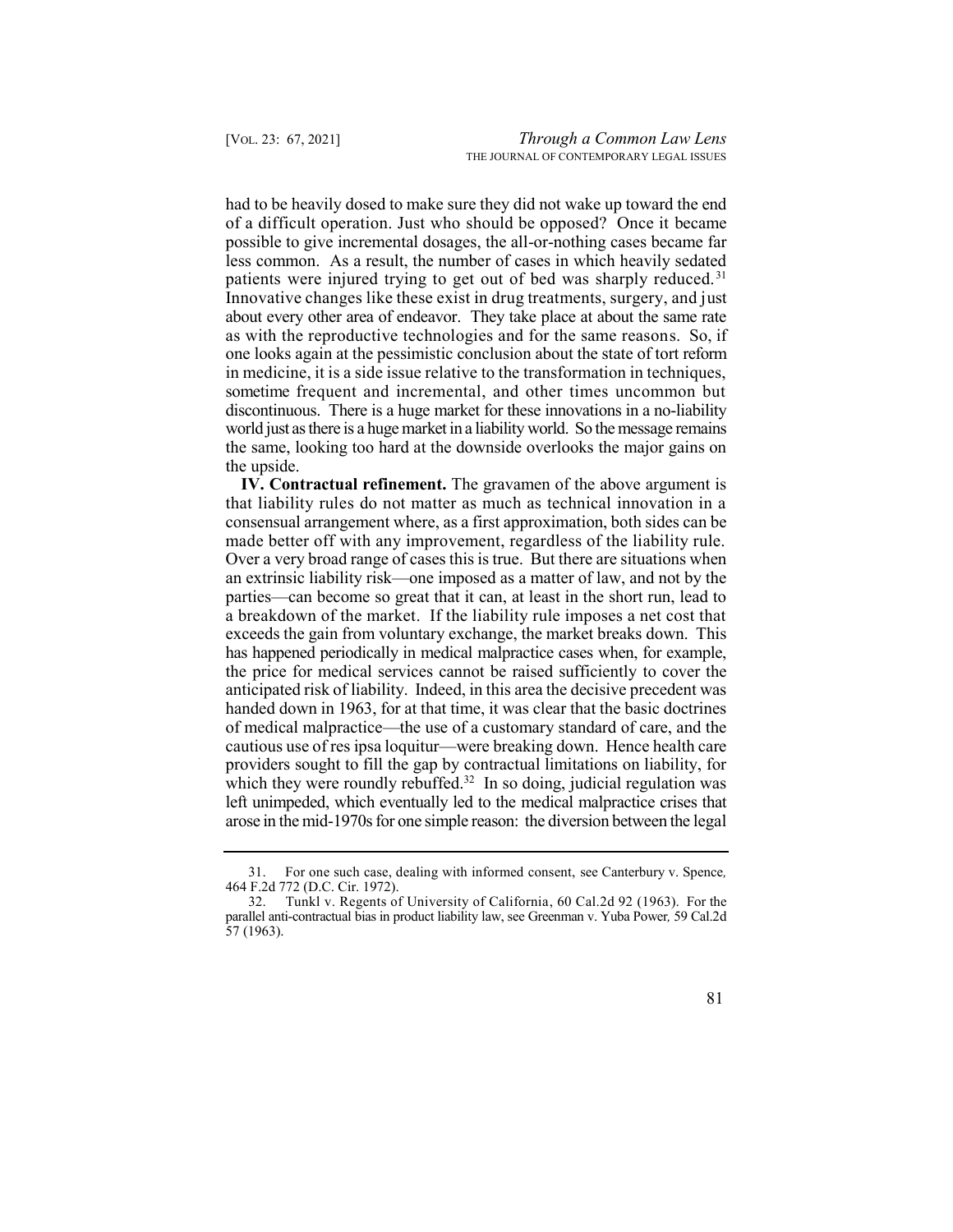had to be heavily dosed to make sure they did not wake up toward the end patients were injured trying to get out of bed was sharply reduced.<sup>31</sup> Innovative changes like these exist in drug treatments, surgery, and just about every other area of endeavor. They take place at about the same rate as with the reproductive technologies and for the same reasons. So, if one looks again at the pessimistic conclusion about the state of tort reform in medicine, it is a side issue relative to the transformation in techniques, sometime frequent and incremental, and other times uncommon but discontinuous. There is a huge market for these innovations in a no-liability world just as there is a huge market in a liability world. So the message remains the same, looking too hard at the downside overlooks the major gains on of a difficult operation. Just who should be opposed? Once it became possible to give incremental dosages, the all-or-nothing cases became far less common. As a result, the number of cases in which heavily sedated the upside.

 **IV. Contractual refinement.** The gravamen of the above argument is has happened periodically in medical malpractice cases when, for example, the price for medical services cannot be raised sufficiently to cover the which they were roundly rebuffed. $32$  In so doing, judicial regulation was that liability rules do not matter as much as technical innovation in a consensual arrangement where, as a first approximation, both sides can be made better off with any improvement, regardless of the liability rule. Over a very broad range of cases this is true. But there are situations when an extrinsic liability risk—one imposed as a matter of law, and not by the parties—can become so great that it can, at least in the short run, lead to a breakdown of the market. If the liability rule imposes a net cost that exceeds the gain from voluntary exchange, the market breaks down. This anticipated risk of liability. Indeed, in this area the decisive precedent was handed down in 1963, for at that time, it was clear that the basic doctrines of medical malpractice—the use of a customary standard of care, and the cautious use of res ipsa loquitur—were breaking down. Hence health care providers sought to fill the gap by contractual limitations on liability, for left unimpeded, which eventually led to the medical malpractice crises that arose in the mid-1970s for one simple reason: the diversion between the legal

 32. Tunkl v. Regents of University of California, 60 Cal.2d 92 (1963). For the parallel anti-contractual bias in product liability law, see Greenman v. Yuba Power*,* 59 Cal.2d 57 (1963).



 31. For one such case, dealing with informed consent, see Canterbury v. Spence*,*  464 F.2d 772 (D.C. Cir. 1972).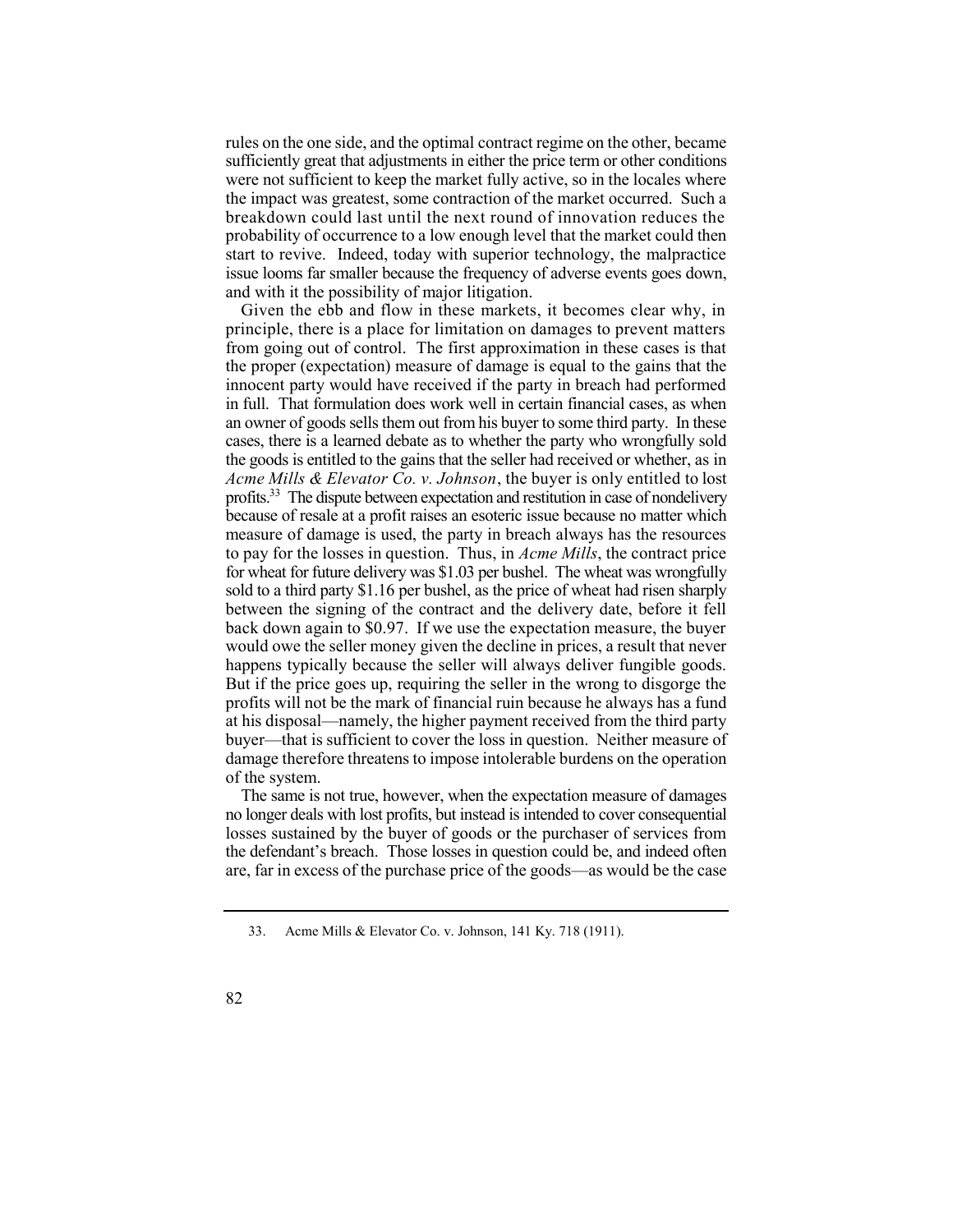rules on the one side, and the optimal contract regime on the other, became sufficiently great that adjustments in either the price term or other conditions were not sufficient to keep the market fully active, so in the locales where the impact was greatest, some contraction of the market occurred. Such a breakdown could last until the next round of innovation reduces the probability of occurrence to a low enough level that the market could then start to revive. Indeed, today with superior technology, the malpractice issue looms far smaller because the frequency of adverse events goes down, and with it the possibility of major litigation.

 Given the ebb and flow in these markets, it becomes clear why, in principle, there is a place for limitation on damages to prevent matters from going out of control. The first approximation in these cases is that profits.<sup>33</sup> The dispute between expectation and restitution in case of nondelivery But if the price goes up, requiring the seller in the wrong to disgorge the profits will not be the mark of financial ruin because he always has a fund at his disposal—namely, the higher payment received from the third party buyer—that is sufficient to cover the loss in question. Neither measure of damage therefore threatens to impose intolerable burdens on the operation the proper (expectation) measure of damage is equal to the gains that the innocent party would have received if the party in breach had performed in full. That formulation does work well in certain financial cases, as when an owner of goods sells them out from his buyer to some third party. In these cases, there is a learned debate as to whether the party who wrongfully sold the goods is entitled to the gains that the seller had received or whether, as in *Acme Mills & Elevator Co. v. Johnson*, the buyer is only entitled to lost because of resale at a profit raises an esoteric issue because no matter which measure of damage is used, the party in breach always has the resources to pay for the losses in question. Thus, in *Acme Mills*, the contract price for wheat for future delivery was \$1.03 per bushel. The wheat was wrongfully sold to a third party \$1.16 per bushel, as the price of wheat had risen sharply between the signing of the contract and the delivery date, before it fell back down again to \$0.97. If we use the expectation measure, the buyer would owe the seller money given the decline in prices, a result that never happens typically because the seller will always deliver fungible goods. of the system.

 The same is not true, however, when the expectation measure of damages no longer deals with lost profits, but instead is intended to cover consequential losses sustained by the buyer of goods or the purchaser of services from are, far in excess of the purchase price of the goods—as would be the case the defendant's breach. Those losses in question could be, and indeed often

 33. Acme Mills & Elevator Co. v. Johnson, 141 Ky. 718 (1911).

<sup>82</sup>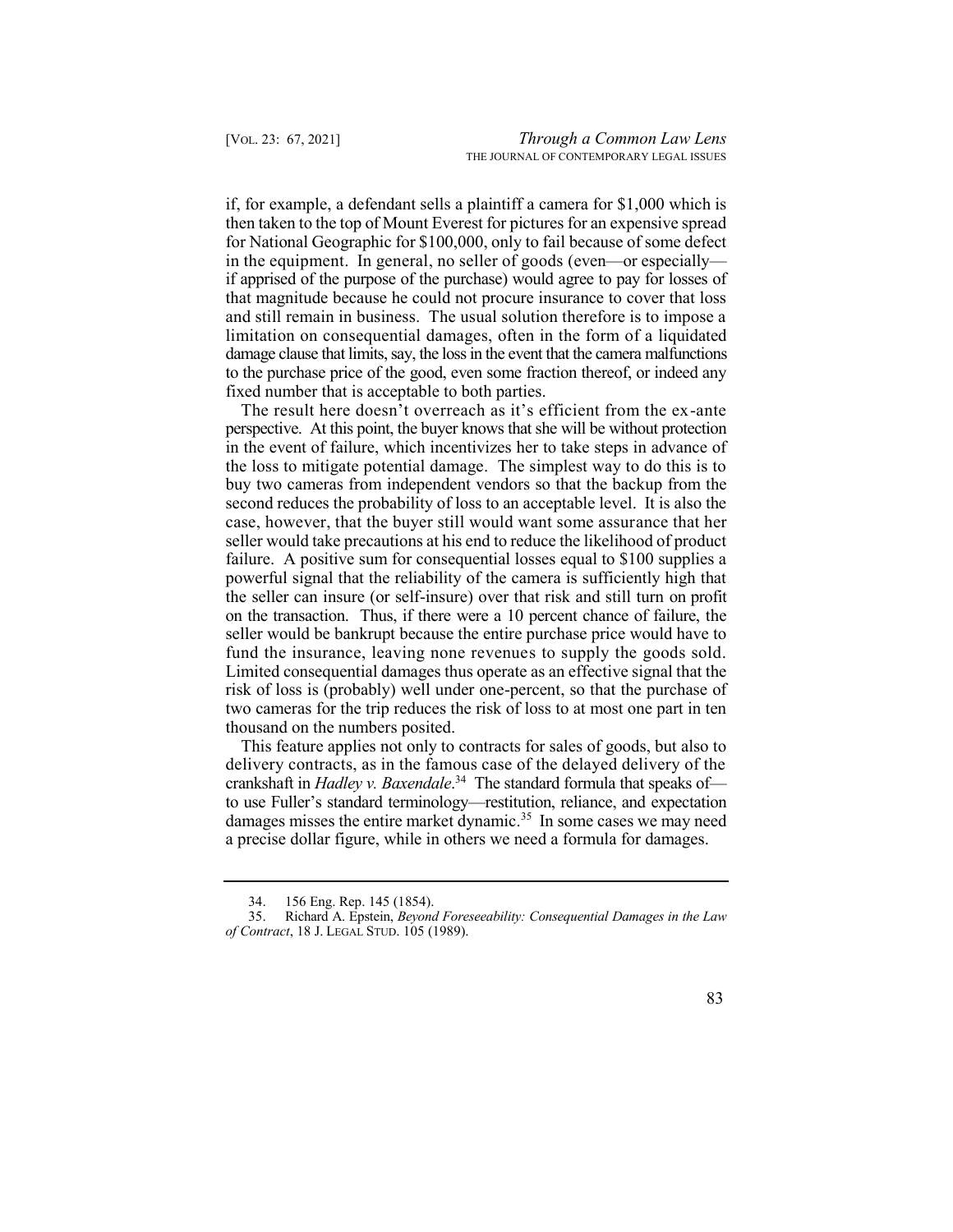then taken to the top of Mount Everest for pictures for an expensive spread for National Geographic for \$100,000, only to fail because of some defect in the equipment. In general, no seller of goods (even—or especially— if apprised of the purpose of the purchase) would agree to pay for losses of that magnitude because he could not procure insurance to cover that loss limitation on consequential damages, often in the form of a liquidated damage clause that limits, say, the loss in the event that the camera malfunctions to the purchase price of the good, even some fraction thereof, or indeed any if, for example, a defendant sells a plaintiff a camera for \$1,000 which is and still remain in business. The usual solution therefore is to impose a fixed number that is acceptable to both parties.

 The result here doesn't overreach as it's efficient from the ex-ante perspective. At this point, the buyer knows that she will be without protection in the event of failure, which incentivizes her to take steps in advance of the loss to mitigate potential damage. The simplest way to do this is to buy two cameras from independent vendors so that the backup from the second reduces the probability of loss to an acceptable level. It is also the case, however, that the buyer still would want some assurance that her seller would take precautions at his end to reduce the likelihood of product failure. A positive sum for consequential losses equal to \$100 supplies a powerful signal that the reliability of the camera is sufficiently high that the seller can insure (or self-insure) over that risk and still turn on profit on the transaction. Thus, if there were a 10 percent chance of failure, the fund the insurance, leaving none revenues to supply the goods sold. Limited consequential damages thus operate as an effective signal that the risk of loss is (probably) well under one-percent, so that the purchase of two cameras for the trip reduces the risk of loss to at most one part in ten seller would be bankrupt because the entire purchase price would have to thousand on the numbers posited.

 crankshaft in *Hadley v. [Baxendale](https://Baxendale.34)*. 34 The standard formula that speaks of damages misses the entire market dynamic.<sup>35</sup> In some cases we may need This feature applies not only to contracts for sales of goods, but also to delivery contracts, as in the famous case of the delayed delivery of the to use Fuller's standard terminology—restitution, reliance, and expectation a precise dollar figure, while in others we need a formula for damages.

 35. Richard A. Epstein, *Beyond Foreseeability: Consequential Damages in the Law of Contract*, 18 J. LEGAL STUD. 105 (1989).



 34. 156 Eng. Rep. 145 (1854).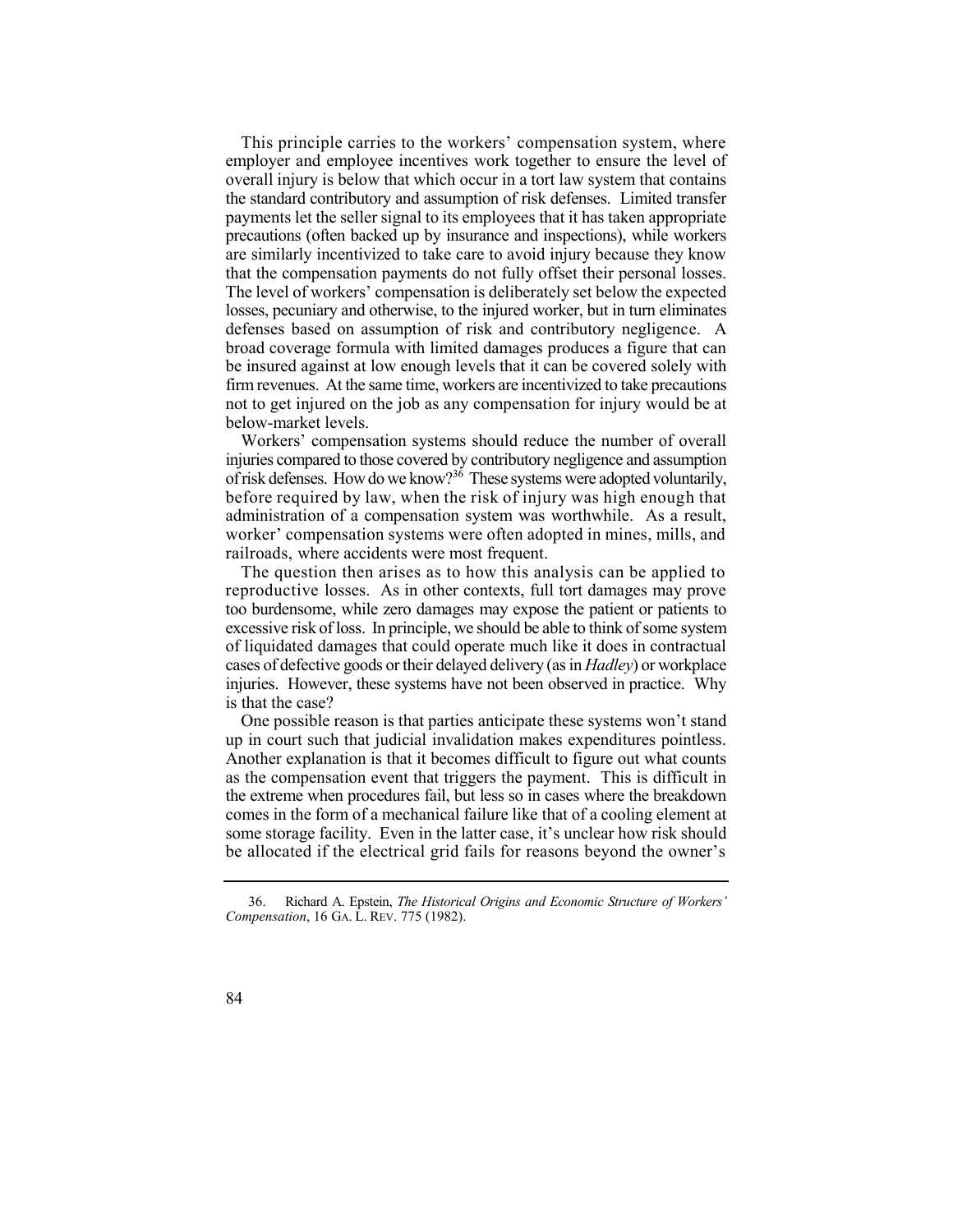This principle carries to the workers' compensation system, where employer and employee incentives work together to ensure the level of overall injury is below that which occur in a tort law system that contains the standard contributory and assumption of risk defenses. Limited transfer payments let the seller signal to its employees that it has taken appropriate precautions (often backed up by insurance and inspections), while workers are similarly incentivized to take care to avoid injury because they know that the compensation payments do not fully offset their personal losses. The level of workers' compensation is deliberately set below the expected losses, pecuniary and otherwise, to the injured worker, but in turn eliminates defenses based on assumption of risk and contributory negligence. A broad coverage formula with limited damages produces a figure that can be insured against at low enough levels that it can be covered solely with firm revenues. At the same time, workers are incentivized to take precautions not to get injured on the job as any compensation for injury would be at below-market levels.

 Workers' compensation systems should reduce the number of overall of risk defenses. How do we know?<sup>36</sup> These systems were adopted voluntarily, injuries compared to those covered by contributory negligence and assumption before required by law, when the risk of injury was high enough that administration of a compensation system was worthwhile. As a result, worker' compensation systems were often adopted in mines, mills, and railroads, where accidents were most frequent.

 The question then arises as to how this analysis can be applied to reproductive losses. As in other contexts, full tort damages may prove too burdensome, while zero damages may expose the patient or patients to excessive risk of loss. In principle, we should be able to think of some system of liquidated damages that could operate much like it does in contractual cases of defective goods or their delayed delivery (as in *Hadley*) or workplace injuries. However, these systems have not been observed in practice. Why is that the case?

 One possible reason is that parties anticipate these systems won't stand up in court such that judicial invalidation makes expenditures pointless. Another explanation is that it becomes difficult to figure out what counts as the compensation event that triggers the payment. This is difficult in the extreme when procedures fail, but less so in cases where the breakdown comes in the form of a mechanical failure like that of a cooling element at some storage facility. Even in the latter case, it's unclear how risk should be allocated if the electrical grid fails for reasons beyond the owner's

 36. Richard A. Epstein, *The Historical Origins and Economic Structure of Workers' Compensation*, 16 GA. L. REV. 775 (1982).

<sup>84</sup>